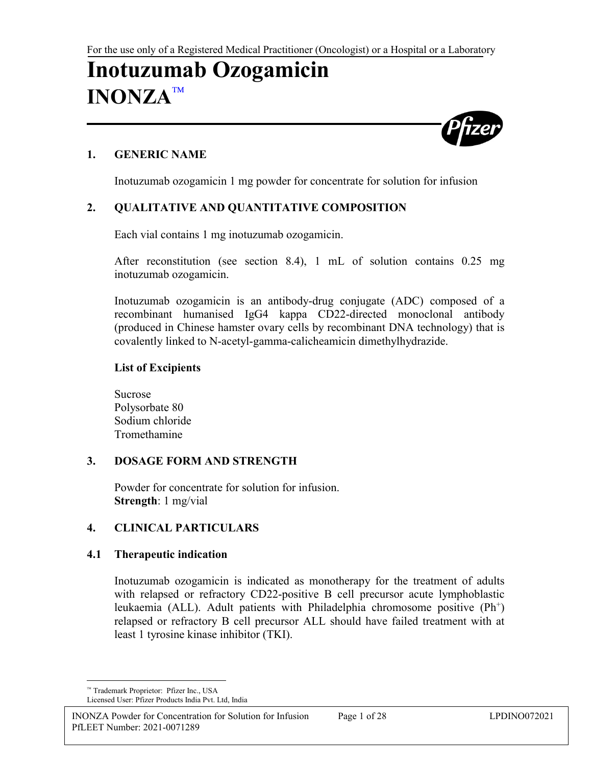# **Inotuzumab Ozogamicin INONZA**



## **1. GENERIC NAME**

Inotuzumab ozogamicin 1 mg powder for concentrate for solution for infusion

## **2. QUALITATIVE AND QUANTITATIVE COMPOSITION**

Each vial contains 1 mg inotuzumab ozogamicin.

After reconstitution (see section 8.4), 1 mL of solution contains 0.25 mg inotuzumab ozogamicin.

Inotuzumab ozogamicin is an antibody-drug conjugate (ADC) composed of a recombinant humanised IgG4 kappa CD22-directed monoclonal antibody (produced in Chinese hamster ovary cells by recombinant DNA technology) that is covalently linked to N-acetyl-gamma-calicheamicin dimethylhydrazide.

## **List of Excipients**

Sucrose Polysorbate 80 Sodium chloride **Tromethamine** 

## **3. DOSAGE FORM AND STRENGTH**

Powder for concentrate for solution for infusion. **Strength**: 1 mg/vial

## **4. CLINICAL PARTICULARS**

## **4.1 Therapeutic indication**

Inotuzumab ozogamicin is indicated as monotherapy for the treatment of adults with relapsed or refractory CD22-positive B cell precursor acute lymphoblastic leukaemia (ALL). Adult patients with Philadelphia chromosome positive (Ph<sup>+</sup>) relapsed or refractory B cell precursor ALL should have failed treatment with at least 1 tyrosine kinase inhibitor (TKI).

<span id="page-0-0"></span> $\overline{a}$ Trademark Proprietor: Pfizer Inc., USA Licensed User: Pfizer Products India Pvt. Ltd, India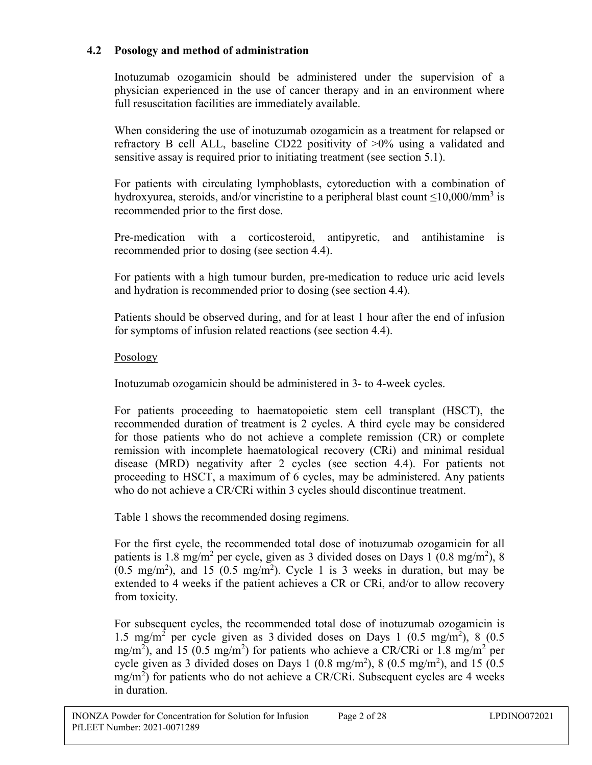## **4.2 Posology and method of administration**

Inotuzumab ozogamicin should be administered under the supervision of a physician experienced in the use of cancer therapy and in an environment where full resuscitation facilities are immediately available.

When considering the use of inotuzumab ozogamicin as a treatment for relapsed or refractory B cell ALL, baseline CD22 positivity of >0% using a validated and sensitive assay is required prior to initiating treatment (see section 5.1).

For patients with circulating lymphoblasts, cytoreduction with a combination of hydroxyurea, steroids, and/or vincristine to a peripheral blast count  $\leq$ 10,000/mm<sup>3</sup> is recommended prior to the first dose.

Pre-medication with a corticosteroid, antipyretic, and antihistamine is recommended prior to dosing (see section 4.4).

For patients with a high tumour burden, pre-medication to reduce uric acid levels and hydration is recommended prior to dosing (see section 4.4).

Patients should be observed during, and for at least 1 hour after the end of infusion for symptoms of infusion related reactions (see section 4.4).

## Posology

Inotuzumab ozogamicin should be administered in 3- to 4-week cycles.

For patients proceeding to haematopoietic stem cell transplant (HSCT), the recommended duration of treatment is 2 cycles. A third cycle may be considered for those patients who do not achieve a complete remission (CR) or complete remission with incomplete haematological recovery (CRi) and minimal residual disease (MRD) negativity after 2 cycles (see section 4.4). For patients not proceeding to HSCT, a maximum of 6 cycles, may be administered. Any patients who do not achieve a CR/CRi within 3 cycles should discontinue treatment.

Table 1 shows the recommended dosing regimens.

For the first cycle, the recommended total dose of inotuzumab ozogamicin for all patients is 1.8 mg/m<sup>2</sup> per cycle, given as 3 divided doses on Days 1 (0.8 mg/m<sup>2</sup>), 8  $(0.5 \text{ mg/m}^2)$ , and 15  $(0.5 \text{ mg/m}^2)$ . Cycle 1 is 3 weeks in duration, but may be extended to 4 weeks if the patient achieves a CR or CRi, and/or to allow recovery from toxicity.

For subsequent cycles, the recommended total dose of inotuzumab ozogamicin is 1.5 mg/m<sup>2</sup> per cycle given as 3 divided doses on Days 1 (0.5 mg/m<sup>2</sup>), 8 (0.5 mg/m<sup>2</sup>), and 15 (0.5 mg/m<sup>2</sup>) for patients who achieve a CR/CRi or 1.8 mg/m<sup>2</sup> per cycle given as 3 divided doses on Days 1 (0.8 mg/m<sup>2</sup>), 8 (0.5 mg/m<sup>2</sup>), and 15 (0.5  $mg/m<sup>2</sup>$ ) for patients who do not achieve a CR/CRi. Subsequent cycles are 4 weeks in duration.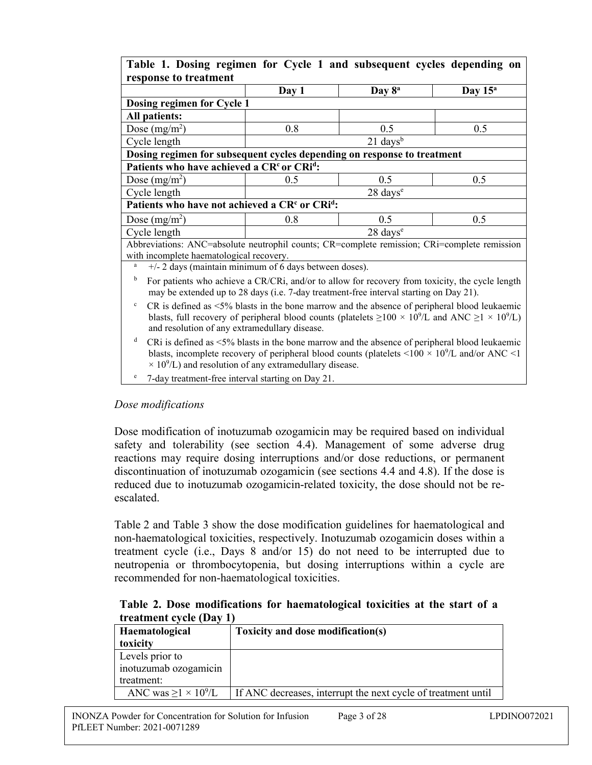| Table 1. Dosing regimen for Cycle 1 and subsequent cycles depending on                                                                                                                                                                                                                                                          |                   |                      |            |
|---------------------------------------------------------------------------------------------------------------------------------------------------------------------------------------------------------------------------------------------------------------------------------------------------------------------------------|-------------------|----------------------|------------|
| response to treatment                                                                                                                                                                                                                                                                                                           |                   |                      |            |
|                                                                                                                                                                                                                                                                                                                                 | Day 1             | Day 8 <sup>a</sup>   | Day $15^a$ |
| Dosing regimen for Cycle 1                                                                                                                                                                                                                                                                                                      |                   |                      |            |
| <b>All patients:</b>                                                                                                                                                                                                                                                                                                            |                   |                      |            |
| Dose $(mg/m^2)$                                                                                                                                                                                                                                                                                                                 | 0.8<br>0.5<br>0.5 |                      |            |
| Cycle length                                                                                                                                                                                                                                                                                                                    |                   | $21 \text{ days}^b$  |            |
| Dosing regimen for subsequent cycles depending on response to treatment                                                                                                                                                                                                                                                         |                   |                      |            |
| Patients who have achieved a CR <sup>c</sup> or CRi <sup>d</sup> :                                                                                                                                                                                                                                                              |                   |                      |            |
| Dose $(mg/m^2)$                                                                                                                                                                                                                                                                                                                 | 0.5               | 0.5                  | 0.5        |
| Cycle length                                                                                                                                                                                                                                                                                                                    |                   | 28 days <sup>e</sup> |            |
| Patients who have not achieved a CR <sup>c</sup> or CRi <sup>d</sup> :                                                                                                                                                                                                                                                          |                   |                      |            |
| Dose $(mg/m^2)$                                                                                                                                                                                                                                                                                                                 | 0.8               | 0.5                  | 0.5        |
| Cycle length                                                                                                                                                                                                                                                                                                                    |                   | 28 days <sup>e</sup> |            |
| Abbreviations: ANC=absolute neutrophil counts; CR=complete remission; CRi=complete remission                                                                                                                                                                                                                                    |                   |                      |            |
| with incomplete haematological recovery.                                                                                                                                                                                                                                                                                        |                   |                      |            |
| +/- 2 days (maintain minimum of 6 days between doses).<br>$\rm{a}$                                                                                                                                                                                                                                                              |                   |                      |            |
| b<br>For patients who achieve a CR/CRi, and/or to allow for recovery from toxicity, the cycle length<br>may be extended up to 28 days (i.e. 7-day treatment-free interval starting on Day 21).                                                                                                                                  |                   |                      |            |
| $CR$ is defined as $\leq$ 5% blasts in the bone marrow and the absence of peripheral blood leukaemic<br>c<br>blasts, full recovery of peripheral blood counts (platelets $\geq 100 \times 10^9$ /L and ANC $\geq 1 \times 10^9$ /L)<br>and resolution of any extramedullary disease.                                            |                   |                      |            |
| d<br>CRi is defined as $\leq 5\%$ blasts in the bone marrow and the absence of peripheral blood leukaemic<br>blasts, incomplete recovery of peripheral blood counts (platelets $\langle 100 \times 10^9 \text{/L}$ and/or ANC $\langle 1 \rangle$<br>$\times$ 10 <sup>9</sup> /L) and resolution of any extramedullary disease. |                   |                      |            |
| e<br>7-day treatment-free interval starting on Day 21.                                                                                                                                                                                                                                                                          |                   |                      |            |

#### *Dose modifications*

Dose modification of inotuzumab ozogamicin may be required based on individual safety and tolerability (see section 4.4). Management of some adverse drug reactions may require dosing interruptions and/or dose reductions, or permanent discontinuation of inotuzumab ozogamicin (see sections 4.4 and 4.8). If the dose is reduced due to inotuzumab ozogamicin-related toxicity, the dose should not be reescalated.

Table 2 and Table 3 show the dose modification guidelines for haematological and non-haematological toxicities, respectively. Inotuzumab ozogamicin doses within a treatment cycle (i.e., Days 8 and/or 15) do not need to be interrupted due to neutropenia or thrombocytopenia, but dosing interruptions within a cycle are recommended for non-haematological toxicities.

#### **Table 2. Dose modifications for haematological toxicities at the start of a treatment cycle (Day 1)**

| Haematological                               | Toxicity and dose modification(s)                             |  |
|----------------------------------------------|---------------------------------------------------------------|--|
| toxicity                                     |                                                               |  |
| Levels prior to                              |                                                               |  |
| inotuzumab ozogamicin                        |                                                               |  |
| treatment:                                   |                                                               |  |
| ANC was $\geq$ 1 $\times$ 10 <sup>9</sup> /L | If ANC decreases, interrupt the next cycle of treatment until |  |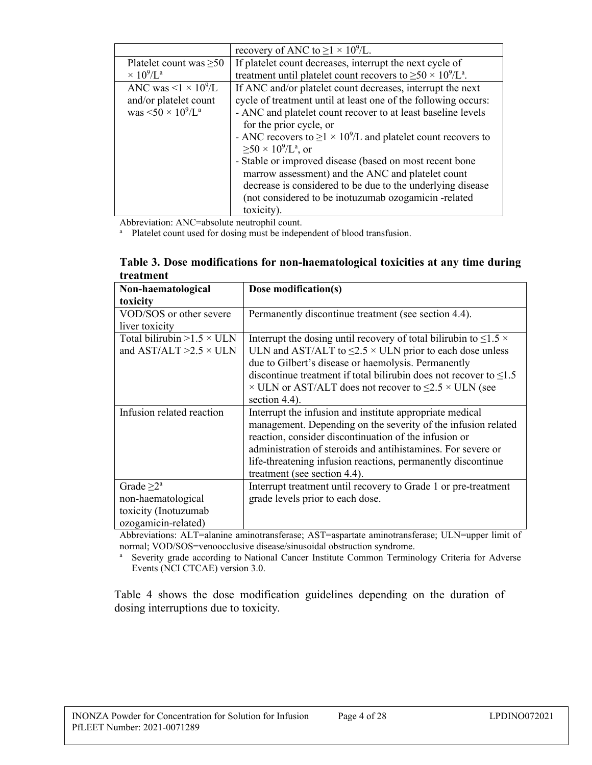|                                              | recovery of ANC to $\geq$ 1 × 10 <sup>9</sup> /L.                              |
|----------------------------------------------|--------------------------------------------------------------------------------|
| Platelet count was $\geq 50$                 | If platelet count decreases, interrupt the next cycle of                       |
| $\times 10^9$ /L <sup>a</sup>                | treatment until platelet count recovers to $\geq 50 \times 10^9/\text{L}^a$ .  |
| ANC was $\leq$ 1 $\times$ 10 <sup>9</sup> /L | If ANC and/or platelet count decreases, interrupt the next                     |
| and/or platelet count                        | cycle of treatment until at least one of the following occurs:                 |
| was $\leq 50 \times 10^9/L^a$                | - ANC and platelet count recover to at least baseline levels                   |
|                                              | for the prior cycle, or                                                        |
|                                              | - ANC recovers to $\geq$ 1 × 10 <sup>9</sup> /L and platelet count recovers to |
|                                              | $\geq 50 \times 10^9$ /L <sup>a</sup> , or                                     |
|                                              | - Stable or improved disease (based on most recent bone                        |
|                                              | marrow assessment) and the ANC and platelet count                              |
|                                              | decrease is considered to be due to the underlying disease                     |
|                                              | (not considered to be inotuzumab ozogamicin -related                           |
|                                              | toxicity).                                                                     |

Abbreviation: ANC=absolute neutrophil count.

<sup>a</sup> Platelet count used for dosing must be independent of blood transfusion.

| Table 3. Dose modifications for non-haematological toxicities at any time during |  |  |
|----------------------------------------------------------------------------------|--|--|
| treatment                                                                        |  |  |

| Non-haematological                | Dose modification(s)                                                          |  |
|-----------------------------------|-------------------------------------------------------------------------------|--|
| toxicity                          |                                                                               |  |
| VOD/SOS or other severe           | Permanently discontinue treatment (see section 4.4).                          |  |
| liver toxicity                    |                                                                               |  |
| Total bilirubin $>1.5 \times$ ULN | Interrupt the dosing until recovery of total bilirubin to $\leq$ 1.5 $\times$ |  |
| and AST/ALT $>2.5 \times$ ULN     | ULN and AST/ALT to $\leq$ 2.5 $\times$ ULN prior to each dose unless          |  |
|                                   | due to Gilbert's disease or haemolysis. Permanently                           |  |
|                                   | discontinue treatment if total bilirubin does not recover to $\leq 1.5$       |  |
|                                   | $\times$ ULN or AST/ALT does not recover to $\leq$ 2.5 $\times$ ULN (see      |  |
|                                   | section 4.4).                                                                 |  |
| Infusion related reaction         | Interrupt the infusion and institute appropriate medical                      |  |
|                                   | management. Depending on the severity of the infusion related                 |  |
|                                   | reaction, consider discontinuation of the infusion or                         |  |
|                                   | administration of steroids and antihistamines. For severe or                  |  |
|                                   | life-threatening infusion reactions, permanently discontinue                  |  |
|                                   | treatment (see section 4.4).                                                  |  |
| Grade $\geq 2^a$                  | Interrupt treatment until recovery to Grade 1 or pre-treatment                |  |
| non-haematological                | grade levels prior to each dose.                                              |  |
| toxicity (Inotuzumab              |                                                                               |  |
| ozogamicin-related)               |                                                                               |  |

Abbreviations: ALT=alanine aminotransferase; AST=aspartate aminotransferase; ULN=upper limit of normal; VOD/SOS=venoocclusive disease/sinusoidal obstruction syndrome.

<sup>a</sup> Severity grade according to National Cancer Institute Common Terminology Criteria for Adverse Events (NCI CTCAE) version 3.0.

Table 4 shows the dose modification guidelines depending on the duration of dosing interruptions due to toxicity.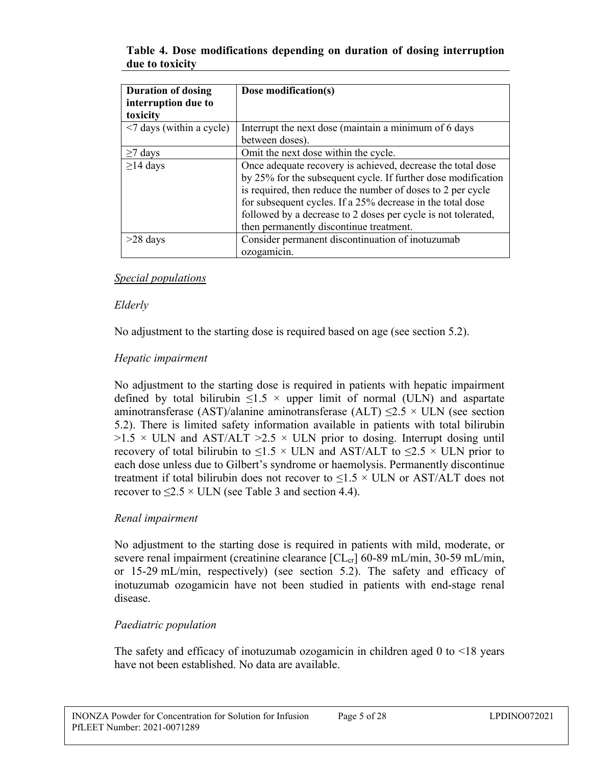| <b>Duration of dosing</b>    | Dose modification(s)                                          |  |
|------------------------------|---------------------------------------------------------------|--|
| interruption due to          |                                                               |  |
| toxicity                     |                                                               |  |
| $\leq$ days (within a cycle) | Interrupt the next dose (maintain a minimum of 6 days         |  |
|                              | between doses).                                               |  |
| $\geq$ 7 days                | Omit the next dose within the cycle.                          |  |
| $\geq$ 14 days               | Once adequate recovery is achieved, decrease the total dose   |  |
|                              | by 25% for the subsequent cycle. If further dose modification |  |
|                              | is required, then reduce the number of doses to 2 per cycle   |  |
|                              | for subsequent cycles. If a 25% decrease in the total dose    |  |
|                              | followed by a decrease to 2 doses per cycle is not tolerated, |  |
|                              | then permanently discontinue treatment.                       |  |
| $>28$ days                   | Consider permanent discontinuation of inotuzumab              |  |
|                              | ozogamicin.                                                   |  |

**Table 4. Dose modifications depending on duration of dosing interruption due to toxicity**

#### *Special populations*

#### *Elderly*

No adjustment to the starting dose is required based on age (see section 5.2).

## *Hepatic impairment*

No adjustment to the starting dose is required in patients with hepatic impairment defined by total bilirubin  $\leq 1.5 \times$  upper limit of normal (ULN) and aspartate aminotransferase (AST)/alanine aminotransferase (ALT)  $\leq$ 2.5 × ULN (see section 5.2). There is limited safety information available in patients with total bilirubin  $>1.5 \times$  ULN and AST/ALT  $>2.5 \times$  ULN prior to dosing. Interrupt dosing until recovery of total bilirubin to  $\leq$ 1.5 × ULN and AST/ALT to  $\leq$ 2.5 × ULN prior to each dose unless due to Gilbert's syndrome or haemolysis. Permanently discontinue treatment if total bilirubin does not recover to  $\leq 1.5 \times$  ULN or AST/ALT does not recover to  $\leq$ 2.5 × ULN (see Table 3 and section 4.4).

## *Renal impairment*

No adjustment to the starting dose is required in patients with mild, moderate, or severe renal impairment (creatinine clearance  $[CL_{cr}]$  60-89 mL/min, 30-59 mL/min, or 15-29 mL/min, respectively) (see section 5.2). The safety and efficacy of inotuzumab ozogamicin have not been studied in patients with end-stage renal disease.

## *Paediatric population*

The safety and efficacy of inotuzumab ozogamicin in children aged 0 to <18 years have not been established. No data are available.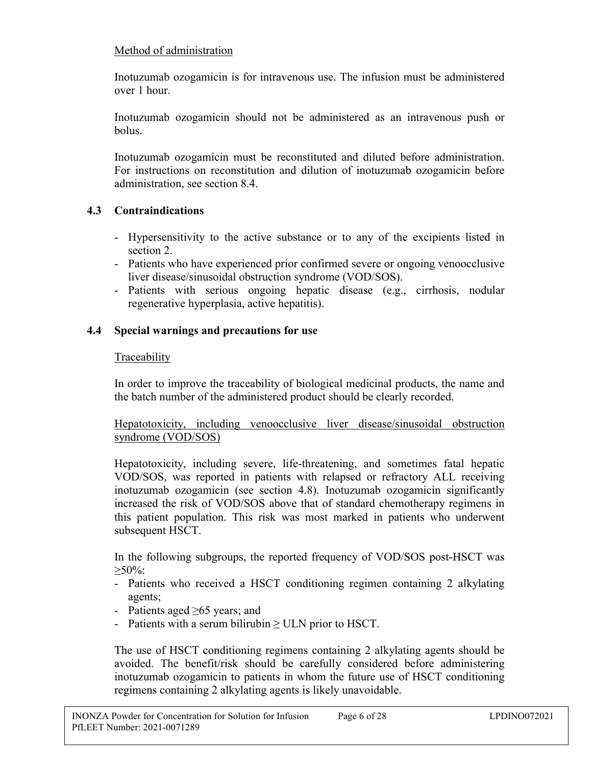## Method of administration

Inotuzumab ozogamicin is for intravenous use. The infusion must be administered over 1 hour.

Inotuzumab ozogamicin should not be administered as an intravenous push or bolus.

Inotuzumab ozogamicin must be reconstituted and diluted before administration. For instructions on reconstitution and dilution of inotuzumab ozogamicin before administration, see section 8.4.

## **4.3 Contraindications**

- Hypersensitivity to the active substance or to any of the excipients listed in section 2.
- Patients who have experienced prior confirmed severe or ongoing venoocclusive liver disease/sinusoidal obstruction syndrome (VOD/SOS).
- Patients with serious ongoing hepatic disease (e.g., cirrhosis, nodular regenerative hyperplasia, active hepatitis).

## **4.4 Special warnings and precautions for use**

## Traceability

In order to improve the traceability of biological medicinal products, the name and the batch number of the administered product should be clearly recorded.

Hepatotoxicity, including venoocclusive liver disease/sinusoidal obstruction syndrome (VOD/SOS)

Hepatotoxicity, including severe, life-threatening, and sometimes fatal hepatic VOD/SOS, was reported in patients with relapsed or refractory ALL receiving inotuzumab ozogamicin (see section 4.8). Inotuzumab ozogamicin significantly increased the risk of VOD/SOS above that of standard chemotherapy regimens in this patient population. This risk was most marked in patients who underwent subsequent HSCT.

In the following subgroups, the reported frequency of VOD/SOS post-HSCT was  $>50\%$ :

- Patients who received a HSCT conditioning regimen containing 2 alkylating agents;
- Patients aged ≥65 years; and
- Patients with a serum bilirubin  $\geq$  ULN prior to HSCT.

The use of HSCT conditioning regimens containing 2 alkylating agents should be avoided. The benefit/risk should be carefully considered before administering inotuzumab ozogamicin to patients in whom the future use of HSCT conditioning regimens containing 2 alkylating agents is likely unavoidable.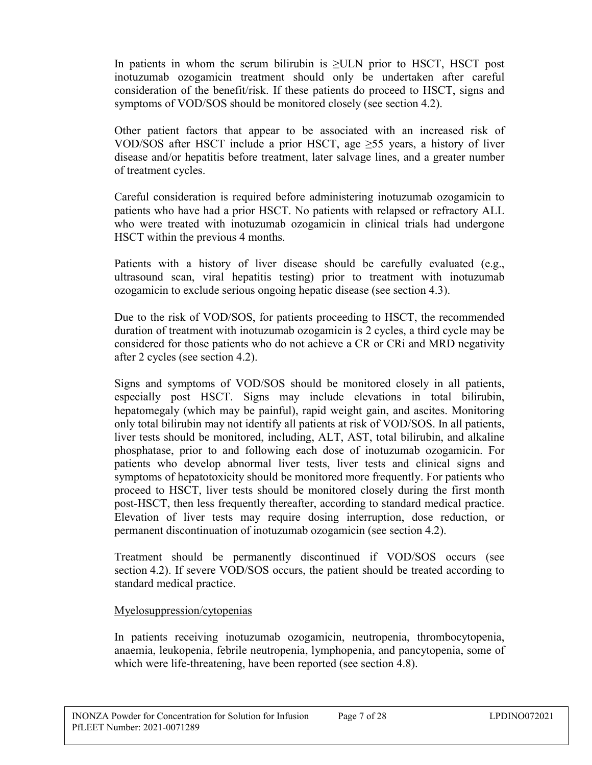In patients in whom the serum bilirubin is  $\geq$ ULN prior to HSCT, HSCT post inotuzumab ozogamicin treatment should only be undertaken after careful consideration of the benefit/risk. If these patients do proceed to HSCT, signs and symptoms of VOD/SOS should be monitored closely (see section 4.2).

Other patient factors that appear to be associated with an increased risk of VOD/SOS after HSCT include a prior HSCT, age  $\geq$ 55 years, a history of liver disease and/or hepatitis before treatment, later salvage lines, and a greater number of treatment cycles.

Careful consideration is required before administering inotuzumab ozogamicin to patients who have had a prior HSCT. No patients with relapsed or refractory ALL who were treated with inotuzumab ozogamicin in clinical trials had undergone HSCT within the previous 4 months.

Patients with a history of liver disease should be carefully evaluated (e.g., ultrasound scan, viral hepatitis testing) prior to treatment with inotuzumab ozogamicin to exclude serious ongoing hepatic disease (see section 4.3).

Due to the risk of VOD/SOS, for patients proceeding to HSCT, the recommended duration of treatment with inotuzumab ozogamicin is 2 cycles, a third cycle may be considered for those patients who do not achieve a CR or CRi and MRD negativity after 2 cycles (see section 4.2).

Signs and symptoms of VOD/SOS should be monitored closely in all patients, especially post HSCT. Signs may include elevations in total bilirubin, hepatomegaly (which may be painful), rapid weight gain, and ascites. Monitoring only total bilirubin may not identify all patients at risk of VOD/SOS. In all patients, liver tests should be monitored, including, ALT, AST, total bilirubin, and alkaline phosphatase, prior to and following each dose of inotuzumab ozogamicin. For patients who develop abnormal liver tests, liver tests and clinical signs and symptoms of hepatotoxicity should be monitored more frequently. For patients who proceed to HSCT, liver tests should be monitored closely during the first month post-HSCT, then less frequently thereafter, according to standard medical practice. Elevation of liver tests may require dosing interruption, dose reduction, or permanent discontinuation of inotuzumab ozogamicin (see section 4.2).

Treatment should be permanently discontinued if VOD/SOS occurs (see section 4.2). If severe VOD/SOS occurs, the patient should be treated according to standard medical practice.

## Myelosuppression/cytopenias

In patients receiving inotuzumab ozogamicin, neutropenia, thrombocytopenia, anaemia, leukopenia, febrile neutropenia, lymphopenia, and pancytopenia, some of which were life-threatening, have been reported (see section 4.8).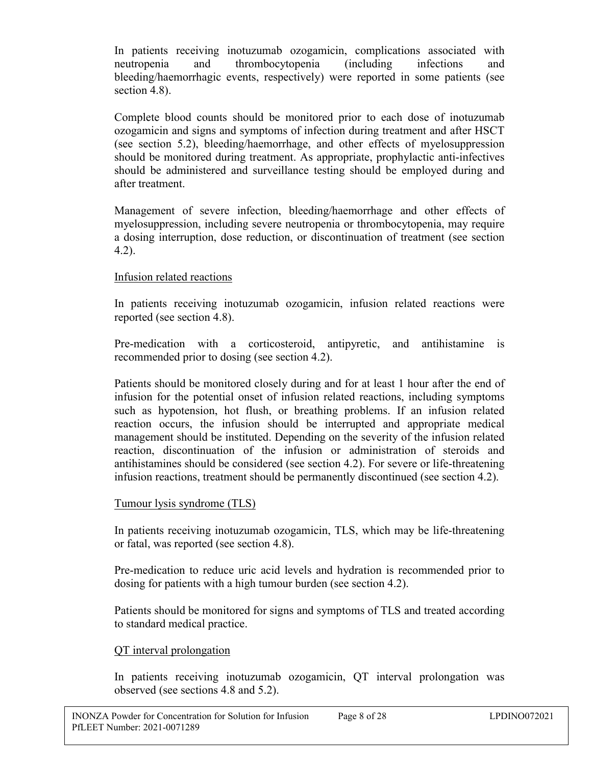In patients receiving inotuzumab ozogamicin, complications associated with neutropenia and thrombocytopenia (including infections and bleeding/haemorrhagic events, respectively) were reported in some patients (see section 4.8).

Complete blood counts should be monitored prior to each dose of inotuzumab ozogamicin and signs and symptoms of infection during treatment and after HSCT (see section 5.2), bleeding/haemorrhage, and other effects of myelosuppression should be monitored during treatment. As appropriate, prophylactic anti-infectives should be administered and surveillance testing should be employed during and after treatment.

Management of severe infection, bleeding/haemorrhage and other effects of myelosuppression, including severe neutropenia or thrombocytopenia, may require a dosing interruption, dose reduction, or discontinuation of treatment (see section 4.2).

## Infusion related reactions

In patients receiving inotuzumab ozogamicin, infusion related reactions were reported (see section 4.8).

Pre-medication with a corticosteroid, antipyretic, and antihistamine is recommended prior to dosing (see section 4.2).

Patients should be monitored closely during and for at least 1 hour after the end of infusion for the potential onset of infusion related reactions, including symptoms such as hypotension, hot flush, or breathing problems. If an infusion related reaction occurs, the infusion should be interrupted and appropriate medical management should be instituted. Depending on the severity of the infusion related reaction, discontinuation of the infusion or administration of steroids and antihistamines should be considered (see section 4.2). For severe or life-threatening infusion reactions, treatment should be permanently discontinued (see section 4.2).

## Tumour lysis syndrome (TLS)

In patients receiving inotuzumab ozogamicin, TLS, which may be life-threatening or fatal, was reported (see section 4.8).

Pre-medication to reduce uric acid levels and hydration is recommended prior to dosing for patients with a high tumour burden (see section 4.2).

Patients should be monitored for signs and symptoms of TLS and treated according to standard medical practice.

## QT interval prolongation

In patients receiving inotuzumab ozogamicin, QT interval prolongation was observed (see sections 4.8 and 5.2).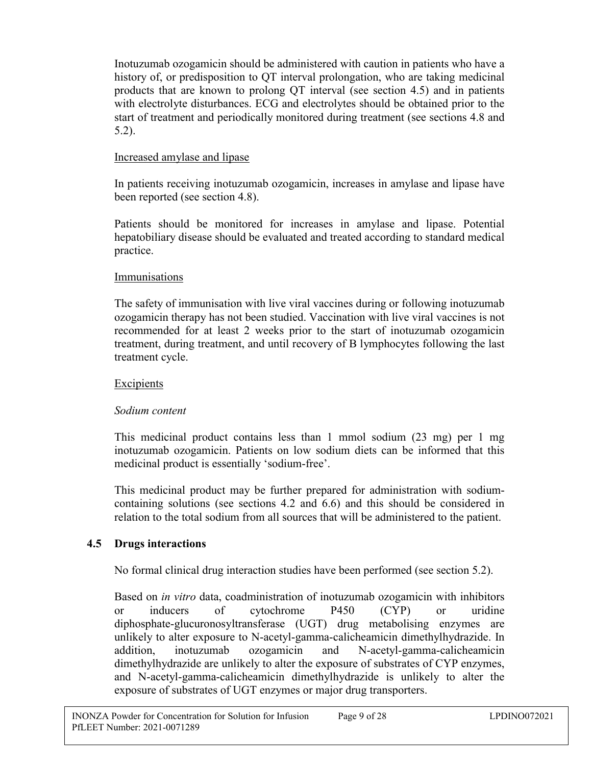Inotuzumab ozogamicin should be administered with caution in patients who have a history of, or predisposition to QT interval prolongation, who are taking medicinal products that are known to prolong QT interval (see section 4.5) and in patients with electrolyte disturbances. ECG and electrolytes should be obtained prior to the start of treatment and periodically monitored during treatment (see sections 4.8 and 5.2).

## Increased amylase and lipase

In patients receiving inotuzumab ozogamicin, increases in amylase and lipase have been reported (see section 4.8).

Patients should be monitored for increases in amylase and lipase. Potential hepatobiliary disease should be evaluated and treated according to standard medical practice.

## Immunisations

The safety of immunisation with live viral vaccines during or following inotuzumab ozogamicin therapy has not been studied. Vaccination with live viral vaccines is not recommended for at least 2 weeks prior to the start of inotuzumab ozogamicin treatment, during treatment, and until recovery of B lymphocytes following the last treatment cycle.

## Excipients

## *Sodium content*

This medicinal product contains less than 1 mmol sodium (23 mg) per 1 mg inotuzumab ozogamicin. Patients on low sodium diets can be informed that this medicinal product is essentially 'sodium-free'.

This medicinal product may be further prepared for administration with sodiumcontaining solutions (see sections 4.2 and 6.6) and this should be considered in relation to the total sodium from all sources that will be administered to the patient.

## **4.5 Drugs interactions**

No formal clinical drug interaction studies have been performed (see section 5.2).

Based on *in vitro* data, coadministration of inotuzumab ozogamicin with inhibitors or inducers of cytochrome P450 (CYP) or uridine diphosphate-glucuronosyltransferase (UGT) drug metabolising enzymes are unlikely to alter exposure to N-acetyl-gamma-calicheamicin dimethylhydrazide. In addition, inotuzumab ozogamicin and N-acetyl-gamma-calicheamicin dimethylhydrazide are unlikely to alter the exposure of substrates of CYP enzymes, and N-acetyl-gamma-calicheamicin dimethylhydrazide is unlikely to alter the exposure of substrates of UGT enzymes or major drug transporters.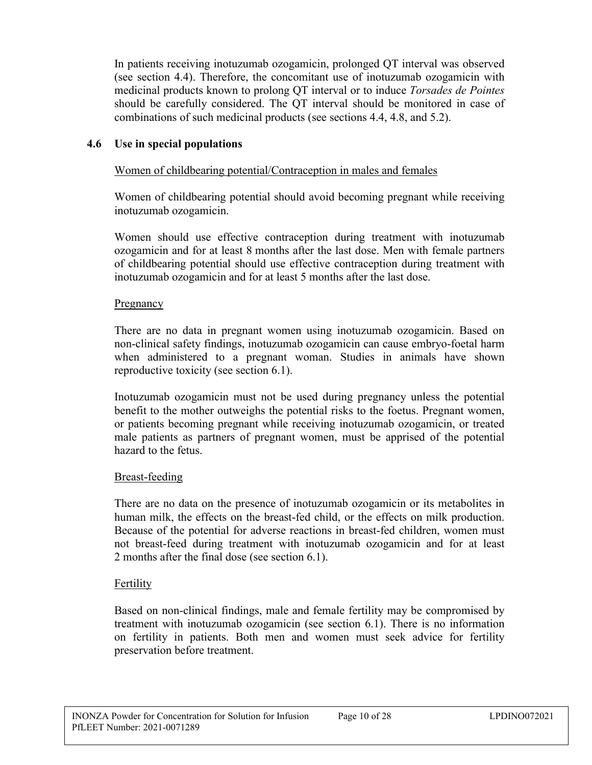In patients receiving inotuzumab ozogamicin, prolonged QT interval was observed (see section 4.4). Therefore, the concomitant use of inotuzumab ozogamicin with medicinal products known to prolong QT interval or to induce *Torsades de Pointes* should be carefully considered. The QT interval should be monitored in case of combinations of such medicinal products (see sections 4.4, 4.8, and 5.2).

## **4.6 Use in special populations**

## Women of childbearing potential/Contraception in males and females

Women of childbearing potential should avoid becoming pregnant while receiving inotuzumab ozogamicin.

Women should use effective contraception during treatment with inotuzumab ozogamicin and for at least 8 months after the last dose. Men with female partners of childbearing potential should use effective contraception during treatment with inotuzumab ozogamicin and for at least 5 months after the last dose.

#### **Pregnancy**

There are no data in pregnant women using inotuzumab ozogamicin. Based on non-clinical safety findings, inotuzumab ozogamicin can cause embryo-foetal harm when administered to a pregnant woman. Studies in animals have shown reproductive toxicity (see section 6.1).

Inotuzumab ozogamicin must not be used during pregnancy unless the potential benefit to the mother outweighs the potential risks to the foetus. Pregnant women, or patients becoming pregnant while receiving inotuzumab ozogamicin, or treated male patients as partners of pregnant women, must be apprised of the potential hazard to the fetus.

## Breast-feeding

There are no data on the presence of inotuzumab ozogamicin or its metabolites in human milk, the effects on the breast-fed child, or the effects on milk production. Because of the potential for adverse reactions in breast-fed children, women must not breast-feed during treatment with inotuzumab ozogamicin and for at least 2 months after the final dose (see section 6.1).

## Fertility

Based on non-clinical findings, male and female fertility may be compromised by treatment with inotuzumab ozogamicin (see section 6.1). There is no information on fertility in patients. Both men and women must seek advice for fertility preservation before treatment.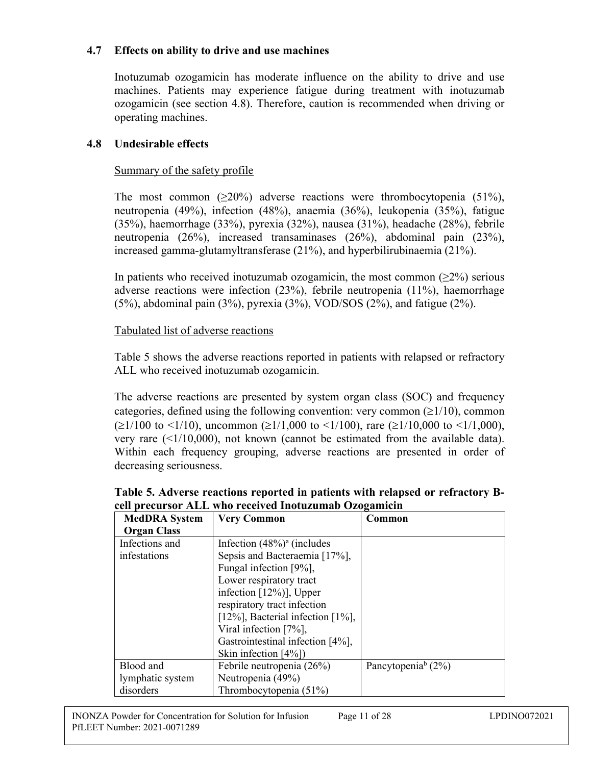#### **4.7 Effects on ability to drive and use machines**

Inotuzumab ozogamicin has moderate influence on the ability to drive and use machines. Patients may experience fatigue during treatment with inotuzumab ozogamicin (see section 4.8). Therefore, caution is recommended when driving or operating machines.

#### **4.8 Undesirable effects**

#### Summary of the safety profile

The most common  $(20\%)$  adverse reactions were thrombocytopenia  $(51\%).$ neutropenia (49%), infection (48%), anaemia (36%), leukopenia (35%), fatigue (35%), haemorrhage (33%), pyrexia (32%), nausea (31%), headache (28%), febrile neutropenia (26%), increased transaminases (26%), abdominal pain (23%), increased gamma-glutamyltransferase (21%), and hyperbilirubinaemia (21%).

In patients who received inotuzumab ozogamicin, the most common  $(\geq 2\%)$  serious adverse reactions were infection (23%), febrile neutropenia (11%), haemorrhage (5%), abdominal pain  $(3\%)$ , pyrexia  $(3\%)$ , VOD/SOS  $(2\%)$ , and fatigue  $(2\%)$ .

#### Tabulated list of adverse reactions

Table 5 shows the adverse reactions reported in patients with relapsed or refractory ALL who received inotuzumab ozogamicin.

The adverse reactions are presented by system organ class (SOC) and frequency categories, defined using the following convention: very common  $(\geq 1/10)$ , common  $(\geq 1/100$  to  $\leq 1/10$ ), uncommon ( $\geq 1/1,000$  to  $\leq 1/100$ ), rare ( $\geq 1/10,000$  to  $\leq 1/1,000$ ), very rare  $(\leq 1/10,000)$ , not known (cannot be estimated from the available data). Within each frequency grouping, adverse reactions are presented in order of decreasing seriousness.

| <b>MedDRA</b> System | <b>Very Common</b>                   | Common                            |
|----------------------|--------------------------------------|-----------------------------------|
| <b>Organ Class</b>   |                                      |                                   |
| Infections and       | Infection $(48\%)^a$ (includes       |                                   |
| infestations         | Sepsis and Bacteraemia [17%],        |                                   |
|                      | Fungal infection [9%],               |                                   |
|                      | Lower respiratory tract              |                                   |
|                      | infection $[12\%]$ , Upper           |                                   |
|                      | respiratory tract infection          |                                   |
|                      | [12%], Bacterial infection $[1\%]$ , |                                   |
|                      | Viral infection [7%],                |                                   |
|                      | Gastrointestinal infection [4%],     |                                   |
|                      | Skin infection $[4\%]$               |                                   |
| Blood and            | Febrile neutropenia (26%)            | Pancytopenia <sup>b</sup> $(2\%)$ |
| lymphatic system     | Neutropenia (49%)                    |                                   |
| disorders            | Thrombocytopenia (51%)               |                                   |

**Table 5. Adverse reactions reported in patients with relapsed or refractory Bcell precursor ALL who received Inotuzumab Ozogamicin**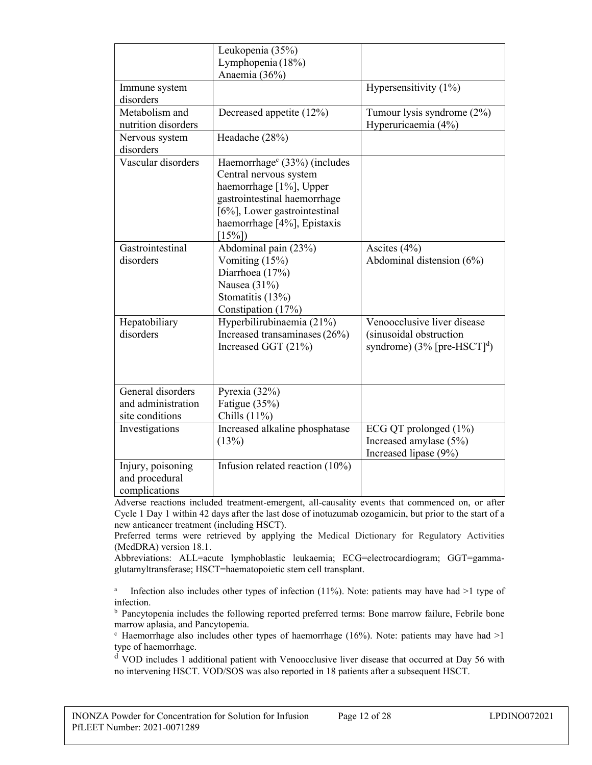|                     | Leukopenia (35%)                         |                                            |
|---------------------|------------------------------------------|--------------------------------------------|
|                     | Lymphopenia (18%)                        |                                            |
|                     | Anaemia (36%)                            |                                            |
| Immune system       |                                          | Hypersensitivity (1%)                      |
| disorders           |                                          |                                            |
| Metabolism and      | Decreased appetite (12%)                 | Tumour lysis syndrome (2%)                 |
| nutrition disorders |                                          | Hyperuricaemia (4%)                        |
| Nervous system      | Headache (28%)                           |                                            |
| disorders           |                                          |                                            |
| Vascular disorders  | Haemorrhage <sup>c</sup> (33%) (includes |                                            |
|                     | Central nervous system                   |                                            |
|                     | haemorrhage [1%], Upper                  |                                            |
|                     | gastrointestinal haemorrhage             |                                            |
|                     | [6%], Lower gastrointestinal             |                                            |
|                     | haemorrhage [4%], Epistaxis              |                                            |
|                     | $[15\%]$                                 |                                            |
| Gastrointestinal    | Abdominal pain (23%)                     | Ascites (4%)                               |
| disorders           | Vomiting (15%)                           | Abdominal distension $(6%)$                |
|                     | Diarrhoea (17%)                          |                                            |
|                     | Nausea (31%)                             |                                            |
|                     | Stomatitis (13%)                         |                                            |
|                     | Constipation (17%)                       |                                            |
| Hepatobiliary       | Hyperbilirubinaemia (21%)                | Venoocclusive liver disease                |
| disorders           | Increased transaminases (26%)            | (sinusoidal obstruction                    |
|                     | Increased GGT (21%)                      | syndrome) $(3\%$ [pre-HSCT] <sup>d</sup> ) |
|                     |                                          |                                            |
|                     |                                          |                                            |
|                     |                                          |                                            |
| General disorders   | Pyrexia (32%)                            |                                            |
| and administration  | Fatigue (35%)                            |                                            |
| site conditions     | Chills $(11\%)$                          |                                            |
| Investigations      | Increased alkaline phosphatase           | ECG QT prolonged (1%)                      |
|                     | (13%)                                    | Increased amylase (5%)                     |
|                     |                                          | Increased lipase (9%)                      |
| Injury, poisoning   | Infusion related reaction $(10\%)$       |                                            |
| and procedural      |                                          |                                            |
| complications       |                                          |                                            |

Adverse reactions included treatment-emergent, all-causality events that commenced on, or after Cycle 1 Day 1 within 42 days after the last dose of inotuzumab ozogamicin, but prior to the start of a new anticancer treatment (including HSCT).

Preferred terms were retrieved by applying the Medical Dictionary for Regulatory Activities (MedDRA) version 18.1.

Abbreviations: ALL=acute lymphoblastic leukaemia; ECG=electrocardiogram; GGT=gammaglutamyltransferase; HSCT=haematopoietic stem cell transplant.

a Infection also includes other types of infection (11%). Note: patients may have had >1 type of infection.

<sup>b</sup> Pancytopenia includes the following reported preferred terms: Bone marrow failure, Febrile bone marrow aplasia, and Pancytopenia.

 $\degree$  Haemorrhage also includes other types of haemorrhage (16%). Note: patients may have had  $>1$ type of haemorrhage.

<sup>d</sup> VOD includes 1 additional patient with Venoocclusive liver disease that occurred at Day 56 with no intervening HSCT. VOD/SOS was also reported in 18 patients after a subsequent HSCT.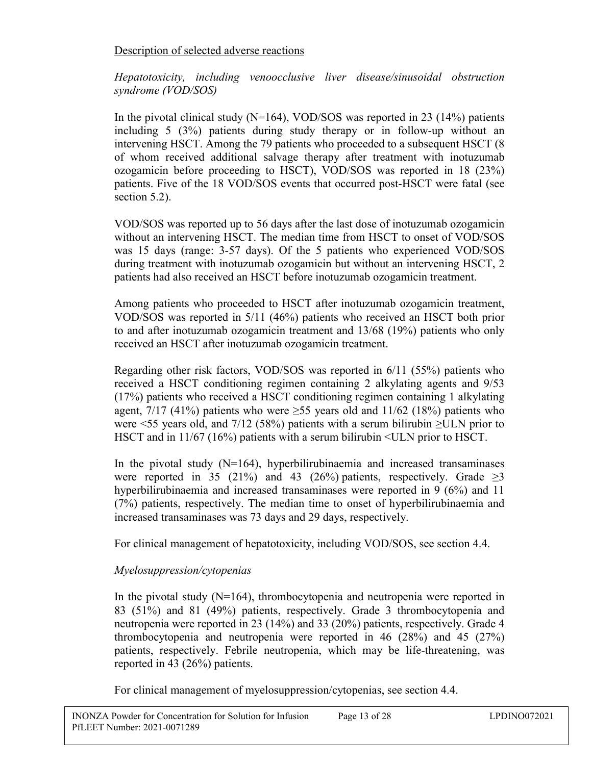## Description of selected adverse reactions

*Hepatotoxicity, including venoocclusive liver disease/sinusoidal obstruction syndrome (VOD/SOS)*

In the pivotal clinical study  $(N=164)$ , VOD/SOS was reported in 23 (14%) patients including 5 (3%) patients during study therapy or in follow-up without an intervening HSCT. Among the 79 patients who proceeded to a subsequent HSCT (8 of whom received additional salvage therapy after treatment with inotuzumab ozogamicin before proceeding to HSCT), VOD/SOS was reported in 18 (23%) patients. Five of the 18 VOD/SOS events that occurred post-HSCT were fatal (see section 5.2).

VOD/SOS was reported up to 56 days after the last dose of inotuzumab ozogamicin without an intervening HSCT. The median time from HSCT to onset of VOD/SOS was 15 days (range: 3-57 days). Of the 5 patients who experienced VOD/SOS during treatment with inotuzumab ozogamicin but without an intervening HSCT, 2 patients had also received an HSCT before inotuzumab ozogamicin treatment.

Among patients who proceeded to HSCT after inotuzumab ozogamicin treatment, VOD/SOS was reported in 5/11 (46%) patients who received an HSCT both prior to and after inotuzumab ozogamicin treatment and 13/68 (19%) patients who only received an HSCT after inotuzumab ozogamicin treatment.

Regarding other risk factors, VOD/SOS was reported in 6/11 (55%) patients who received a HSCT conditioning regimen containing 2 alkylating agents and 9/53 (17%) patients who received a HSCT conditioning regimen containing 1 alkylating agent, 7/17 (41%) patients who were  $\geq$ 55 years old and 11/62 (18%) patients who were  $\leq$  55 years old, and 7/12 (58%) patients with a serum bilirubin  $\geq$ ULN prior to HSCT and in 11/67 (16%) patients with a serum bilirubin <ULN prior to HSCT.

In the pivotal study  $(N=164)$ , hyperbilirubinaemia and increased transaminases were reported in 35 (21%) and 43 (26%) patients, respectively. Grade  $\geq$ 3 hyperbilirubinaemia and increased transaminases were reported in 9 (6%) and 11 (7%) patients, respectively. The median time to onset of hyperbilirubinaemia and increased transaminases was 73 days and 29 days, respectively.

For clinical management of hepatotoxicity, including VOD/SOS, see section 4.4.

# *Myelosuppression/cytopenias*

In the pivotal study  $(N=164)$ , thrombocytopenia and neutropenia were reported in 83 (51%) and 81 (49%) patients, respectively. Grade 3 thrombocytopenia and neutropenia were reported in 23 (14%) and 33 (20%) patients, respectively. Grade 4 thrombocytopenia and neutropenia were reported in 46 (28%) and 45 (27%) patients, respectively. Febrile neutropenia, which may be life-threatening, was reported in 43 (26%) patients.

For clinical management of myelosuppression/cytopenias, see section 4.4.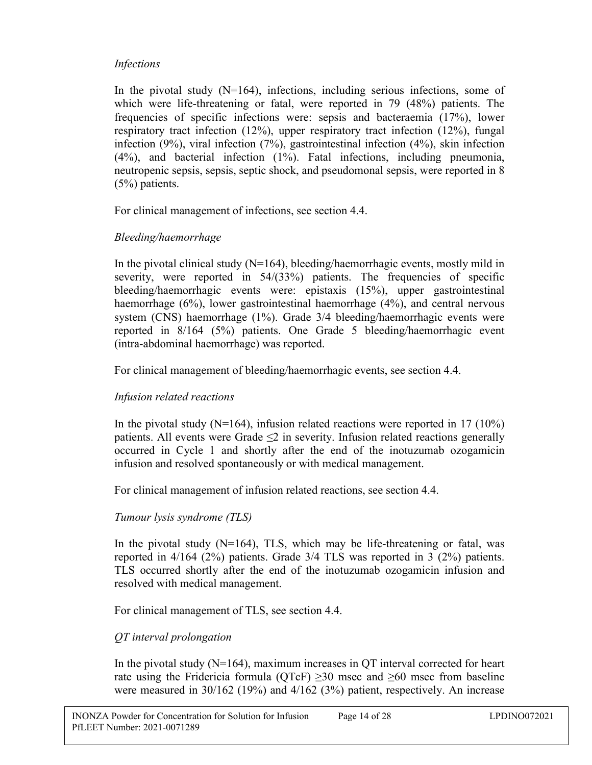## *Infections*

In the pivotal study  $(N=164)$ , infections, including serious infections, some of which were life-threatening or fatal, were reported in 79 (48%) patients. The frequencies of specific infections were: sepsis and bacteraemia (17%), lower respiratory tract infection (12%), upper respiratory tract infection (12%), fungal infection (9%), viral infection (7%), gastrointestinal infection (4%), skin infection (4%), and bacterial infection (1%). Fatal infections, including pneumonia, neutropenic sepsis, sepsis, septic shock, and pseudomonal sepsis, were reported in 8 (5%) patients.

For clinical management of infections, see section 4.4.

## *Bleeding/haemorrhage*

In the pivotal clinical study (N=164), bleeding/haemorrhagic events, mostly mild in severity, were reported in 54/(33%) patients. The frequencies of specific bleeding/haemorrhagic events were: epistaxis (15%), upper gastrointestinal haemorrhage (6%), lower gastrointestinal haemorrhage (4%), and central nervous system (CNS) haemorrhage (1%). Grade 3/4 bleeding/haemorrhagic events were reported in 8/164 (5%) patients. One Grade 5 bleeding/haemorrhagic event (intra-abdominal haemorrhage) was reported.

For clinical management of bleeding/haemorrhagic events, see section 4.4.

## *Infusion related reactions*

In the pivotal study ( $N=164$ ), infusion related reactions were reported in 17 (10%) patients. All events were Grade  $\leq 2$  in severity. Infusion related reactions generally occurred in Cycle 1 and shortly after the end of the inotuzumab ozogamicin infusion and resolved spontaneously or with medical management.

For clinical management of infusion related reactions, see section 4.4.

# *Tumour lysis syndrome (TLS)*

In the pivotal study  $(N=164)$ , TLS, which may be life-threatening or fatal, was reported in 4/164 (2%) patients. Grade 3/4 TLS was reported in 3 (2%) patients. TLS occurred shortly after the end of the inotuzumab ozogamicin infusion and resolved with medical management.

For clinical management of TLS, see section 4.4.

# *QT interval prolongation*

In the pivotal study  $(N=164)$ , maximum increases in QT interval corrected for heart rate using the Fridericia formula (QTcF)  $\geq$ 30 msec and  $\geq$ 60 msec from baseline were measured in 30/162 (19%) and 4/162 (3%) patient, respectively. An increase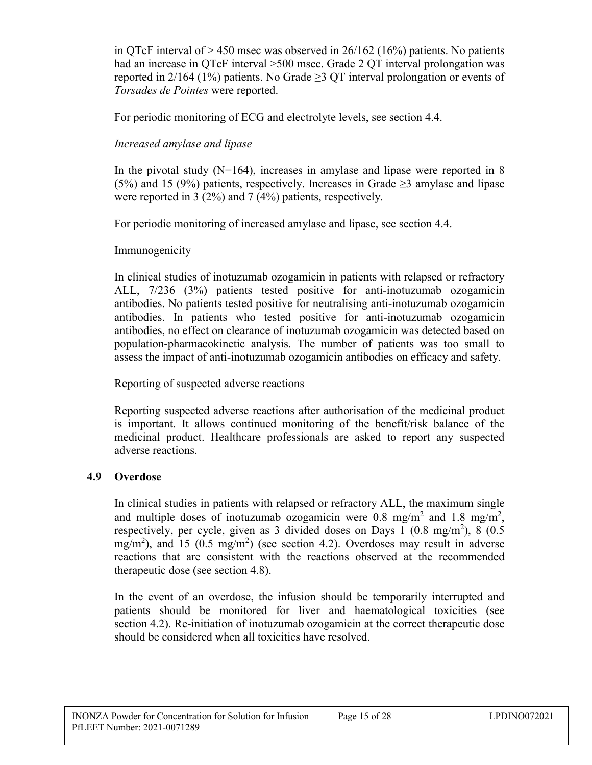in QTcF interval of  $> 450$  msec was observed in 26/162 (16%) patients. No patients had an increase in QTcF interval >500 msec. Grade 2 QT interval prolongation was reported in 2/164 (1%) patients. No Grade  $\geq$  2 QT interval prolongation or events of *Torsades de Pointes* were reported.

For periodic monitoring of ECG and electrolyte levels, see section 4.4.

## *Increased amylase and lipase*

In the pivotal study  $(N=164)$ , increases in amylase and lipase were reported in 8 (5%) and 15 (9%) patients, respectively. Increases in Grade  $\geq$ 3 amylase and lipase were reported in 3 (2%) and 7 (4%) patients, respectively.

For periodic monitoring of increased amylase and lipase, see section 4.4.

## Immunogenicity

In clinical studies of inotuzumab ozogamicin in patients with relapsed or refractory ALL, 7/236 (3%) patients tested positive for anti-inotuzumab ozogamicin antibodies. No patients tested positive for neutralising anti-inotuzumab ozogamicin antibodies. In patients who tested positive for anti-inotuzumab ozogamicin antibodies, no effect on clearance of inotuzumab ozogamicin was detected based on population-pharmacokinetic analysis. The number of patients was too small to assess the impact of anti-inotuzumab ozogamicin antibodies on efficacy and safety.

## Reporting of suspected adverse reactions

Reporting suspected adverse reactions after authorisation of the medicinal product is important. It allows continued monitoring of the benefit/risk balance of the medicinal product. Healthcare professionals are asked to report any suspected adverse reactions.

# **4.9 Overdose**

In clinical studies in patients with relapsed or refractory ALL, the maximum single and multiple doses of inotuzumab ozogamicin were 0.8 mg/m<sup>2</sup> and 1.8 mg/m<sup>2</sup>, respectively, per cycle, given as 3 divided doses on Days 1 (0.8 mg/m<sup>2</sup>), 8 (0.5  $mg/m<sup>2</sup>$ ), and 15 (0.5 mg/m<sup>2</sup>) (see section 4.2). Overdoses may result in adverse reactions that are consistent with the reactions observed at the recommended therapeutic dose (see section 4.8).

In the event of an overdose, the infusion should be temporarily interrupted and patients should be monitored for liver and haematological toxicities (see section 4.2). Re-initiation of inotuzumab ozogamicin at the correct therapeutic dose should be considered when all toxicities have resolved.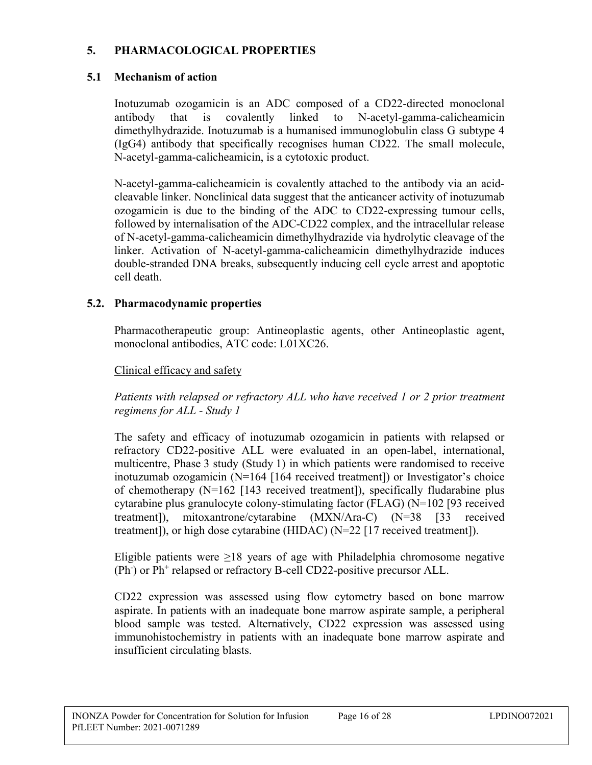## **5. PHARMACOLOGICAL PROPERTIES**

## **5.1 Mechanism of action**

Inotuzumab ozogamicin is an ADC composed of a CD22-directed monoclonal antibody that is covalently linked to N-acetyl-gamma-calicheamicin dimethylhydrazide. Inotuzumab is a humanised immunoglobulin class G subtype 4 (IgG4) antibody that specifically recognises human CD22. The small molecule, N-acetyl-gamma-calicheamicin, is a cytotoxic product.

N-acetyl-gamma-calicheamicin is covalently attached to the antibody via an acidcleavable linker. Nonclinical data suggest that the anticancer activity of inotuzumab ozogamicin is due to the binding of the ADC to CD22-expressing tumour cells, followed by internalisation of the ADC-CD22 complex, and the intracellular release of N-acetyl-gamma-calicheamicin dimethylhydrazide via hydrolytic cleavage of the linker. Activation of N-acetyl-gamma-calicheamicin dimethylhydrazide induces double-stranded DNA breaks, subsequently inducing cell cycle arrest and apoptotic cell death.

## **5.2. Pharmacodynamic properties**

Pharmacotherapeutic group: Antineoplastic agents, other Antineoplastic agent, monoclonal antibodies, ATC code: L01XC26.

## Clinical efficacy and safety

*Patients with relapsed or refractory ALL who have received 1 or 2 prior treatment regimens for ALL - Study 1*

The safety and efficacy of inotuzumab ozogamicin in patients with relapsed or refractory CD22-positive ALL were evaluated in an open-label, international, multicentre, Phase 3 study (Study 1) in which patients were randomised to receive inotuzumab ozogamicin (N=164 [164 received treatment]) or Investigator's choice of chemotherapy (N=162 [143 received treatment]), specifically fludarabine plus cytarabine plus granulocyte colony-stimulating factor (FLAG) (N=102 [93 received treatment]), mitoxantrone/cytarabine (MXN/Ara-C) (N=38 [33 received treatment]), or high dose cytarabine (HIDAC) (N=22 [17 received treatment]).

Eligible patients were  $\geq$ 18 years of age with Philadelphia chromosome negative (Ph<sup>-</sup>) or Ph<sup>+</sup> relapsed or refractory B-cell CD22-positive precursor ALL.

CD22 expression was assessed using flow cytometry based on bone marrow aspirate. In patients with an inadequate bone marrow aspirate sample, a peripheral blood sample was tested. Alternatively, CD22 expression was assessed using immunohistochemistry in patients with an inadequate bone marrow aspirate and insufficient circulating blasts.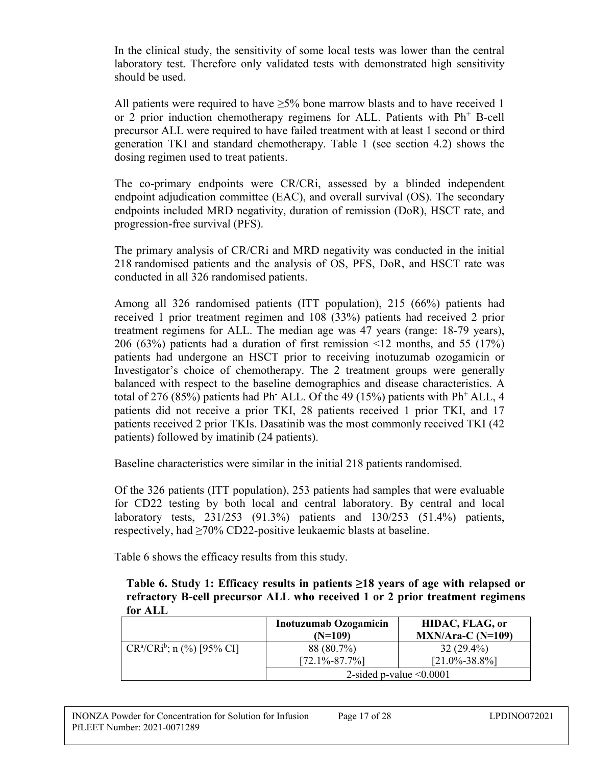In the clinical study, the sensitivity of some local tests was lower than the central laboratory test. Therefore only validated tests with demonstrated high sensitivity should be used.

All patients were required to have  $>5\%$  bone marrow blasts and to have received 1 or 2 prior induction chemotherapy regimens for ALL. Patients with  $Ph<sup>+</sup>$  B-cell precursor ALL were required to have failed treatment with at least 1 second or third generation TKI and standard chemotherapy. Table 1 (see section 4.2) shows the dosing regimen used to treat patients.

The co-primary endpoints were CR/CRi, assessed by a blinded independent endpoint adjudication committee (EAC), and overall survival (OS). The secondary endpoints included MRD negativity, duration of remission (DoR), HSCT rate, and progression-free survival (PFS).

The primary analysis of CR/CRi and MRD negativity was conducted in the initial 218 randomised patients and the analysis of OS, PFS, DoR, and HSCT rate was conducted in all 326 randomised patients.

Among all 326 randomised patients (ITT population), 215 (66%) patients had received 1 prior treatment regimen and 108 (33%) patients had received 2 prior treatment regimens for ALL. The median age was 47 years (range: 18-79 years), 206 (63%) patients had a duration of first remission <12 months, and 55 (17%) patients had undergone an HSCT prior to receiving inotuzumab ozogamicin or Investigator's choice of chemotherapy. The 2 treatment groups were generally balanced with respect to the baseline demographics and disease characteristics. A total of 276 (85%) patients had Ph<sup>-</sup> ALL. Of the 49 (15%) patients with Ph<sup>+</sup> ALL, 4 patients did not receive a prior TKI, 28 patients received 1 prior TKI, and 17 patients received 2 prior TKIs. Dasatinib was the most commonly received TKI (42 patients) followed by imatinib (24 patients).

Baseline characteristics were similar in the initial 218 patients randomised.

Of the 326 patients (ITT population), 253 patients had samples that were evaluable for CD22 testing by both local and central laboratory. By central and local laboratory tests, 231/253 (91.3%) patients and 130/253 (51.4%) patients, respectively, had  $\geq 70\%$  CD22-positive leukaemic blasts at baseline.

Table 6 shows the efficacy results from this study.

**Table 6. Study 1: Efficacy results in patients ≥18 years of age with relapsed or refractory B-cell precursor ALL who received 1 or 2 prior treatment regimens for ALL**

|                               | <b>Inotuzumab Ozogamicin</b><br>$(N=109)$ | HIDAC, FLAG, or<br>$MXN/Area-C (N=109)$ |
|-------------------------------|-------------------------------------------|-----------------------------------------|
| $CR^a/CRi^b$ ; n (%) [95% CI] | 88 (80.7%)<br>$[72.1\% - 87.7\%]$         | $32(29.4\%)$<br>$[21.0\% - 38.8\%]$     |
|                               | 2-sided p-value $\leq 0.0001$             |                                         |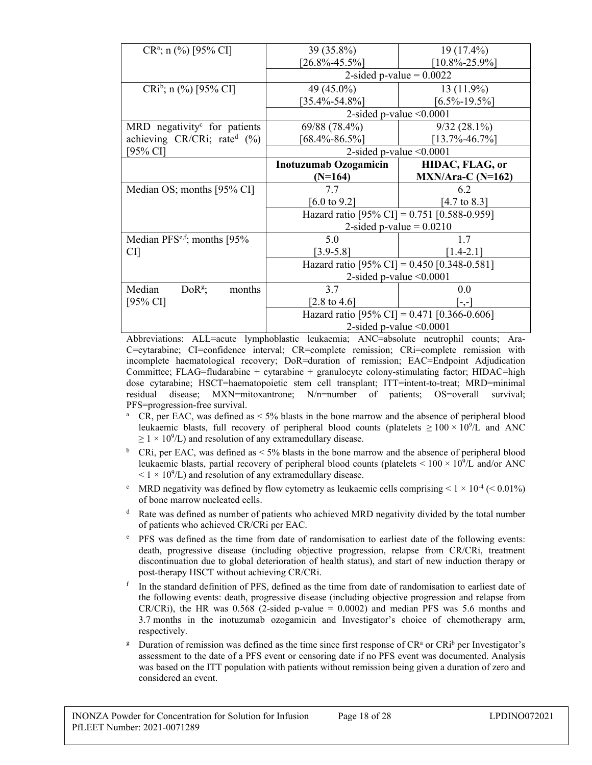| 39 (35.8%)                   | 19 (17.4%)                                                                                                                                                                                                                                                                    |  |
|------------------------------|-------------------------------------------------------------------------------------------------------------------------------------------------------------------------------------------------------------------------------------------------------------------------------|--|
| $[26.8\% - 45.5\%]$          | $[10.8\% - 25.9\%]$                                                                                                                                                                                                                                                           |  |
| 2-sided p-value $= 0.0022$   |                                                                                                                                                                                                                                                                               |  |
| 49 (45.0%)                   | $13(11.9\%)$                                                                                                                                                                                                                                                                  |  |
| $[35.4\%$ -54.8%]            | $[6.5\% - 19.5\%]$                                                                                                                                                                                                                                                            |  |
|                              |                                                                                                                                                                                                                                                                               |  |
| 69/88 (78.4%)                | $9/32(28.1\%)$                                                                                                                                                                                                                                                                |  |
| $68.4\% - 86.5\%$            | $[13.7\% - 46.7\%]$                                                                                                                                                                                                                                                           |  |
|                              |                                                                                                                                                                                                                                                                               |  |
| <b>Inotuzumab Ozogamicin</b> | HIDAC, FLAG, or                                                                                                                                                                                                                                                               |  |
| $(N=164)$                    | $MXN/Area-C (N=162)$                                                                                                                                                                                                                                                          |  |
| 7.7                          | 6.2                                                                                                                                                                                                                                                                           |  |
| [6.0 to 9.2]                 | [4.7 to 8.3]                                                                                                                                                                                                                                                                  |  |
|                              |                                                                                                                                                                                                                                                                               |  |
| 2-sided p-value $= 0.0210$   |                                                                                                                                                                                                                                                                               |  |
| 5.0                          | 1.7                                                                                                                                                                                                                                                                           |  |
| $[3.9 - 5.8]$                | $[1.4 - 2.1]$                                                                                                                                                                                                                                                                 |  |
|                              |                                                                                                                                                                                                                                                                               |  |
|                              |                                                                                                                                                                                                                                                                               |  |
| 3.7                          | 0.0                                                                                                                                                                                                                                                                           |  |
| [2.8 to 4.6]                 | $-,-$                                                                                                                                                                                                                                                                         |  |
|                              |                                                                                                                                                                                                                                                                               |  |
|                              |                                                                                                                                                                                                                                                                               |  |
|                              | 2-sided p-value $\leq 0.0001$<br>2-sided p-value $\leq 0.0001$<br>Hazard ratio [95% CI] = 0.751 [0.588-0.959]<br>Hazard ratio [95% CI] = 0.450 [0.348-0.581]<br>2-sided p-value $\leq 0.0001$<br>Hazard ratio [95% CI] = 0.471 [0.366-0.606]<br>2-sided p-value $\leq 0.0001$ |  |

Abbreviations: ALL=acute lymphoblastic leukaemia; ANC=absolute neutrophil counts; Ara-C=cytarabine; CI=confidence interval; CR=complete remission; CRi=complete remission with incomplete haematological recovery; DoR=duration of remission; EAC=Endpoint Adjudication Committee; FLAG=fludarabine + cytarabine + granulocyte colony-stimulating factor; HIDAC=high dose cytarabine; HSCT=haematopoietic stem cell transplant; ITT=intent-to-treat; MRD=minimal residual disease; MXN=mitoxantrone; N/n=number of patients; OS=overall survival; PFS=progression-free survival.

- <sup>a</sup> CR, per EAC, was defined as  $\leq 5\%$  blasts in the bone marrow and the absence of peripheral blood leukaemic blasts, full recovery of peripheral blood counts (platelets  $\geq 100 \times 10^9$ /L and ANC  $\geq 1 \times 10^9$ /L) and resolution of any extramedullary disease.
- <sup>b</sup> CRi, per EAC, was defined as  $\lt 5\%$  blasts in the bone marrow and the absence of peripheral blood leukaemic blasts, partial recovery of peripheral blood counts (platelets  $\leq 100 \times 10^9$ /L and/or ANC  $< 1 \times 10^{9}$ /L) and resolution of any extramedullary disease.
- <sup>c</sup> MRD negativity was defined by flow cytometry as leukaemic cells comprising  $\leq 1 \times 10^{-4}$  ( $\leq 0.01\%$ ) of bone marrow nucleated cells.
- <sup>d</sup> Rate was defined as number of patients who achieved MRD negativity divided by the total number of patients who achieved CR/CRi per EAC.
- <sup>e</sup> PFS was defined as the time from date of randomisation to earliest date of the following events: death, progressive disease (including objective progression, relapse from CR/CRi, treatment discontinuation due to global deterioration of health status), and start of new induction therapy or post-therapy HSCT without achieving CR/CRi.
- f In the standard definition of PFS, defined as the time from date of randomisation to earliest date of the following events: death, progressive disease (including objective progression and relapse from CR/CRi), the HR was  $0.568$  (2-sided p-value = 0.0002) and median PFS was 5.6 months and 3.7 months in the inotuzumab ozogamicin and Investigator's choice of chemotherapy arm, respectively.
- <sup>g</sup> Duration of remission was defined as the time since first response of  $CR<sup>a</sup>$  or  $CR<sup>b</sup>$  per Investigator's assessment to the date of a PFS event or censoring date if no PFS event was documented. Analysis was based on the ITT population with patients without remission being given a duration of zero and considered an event.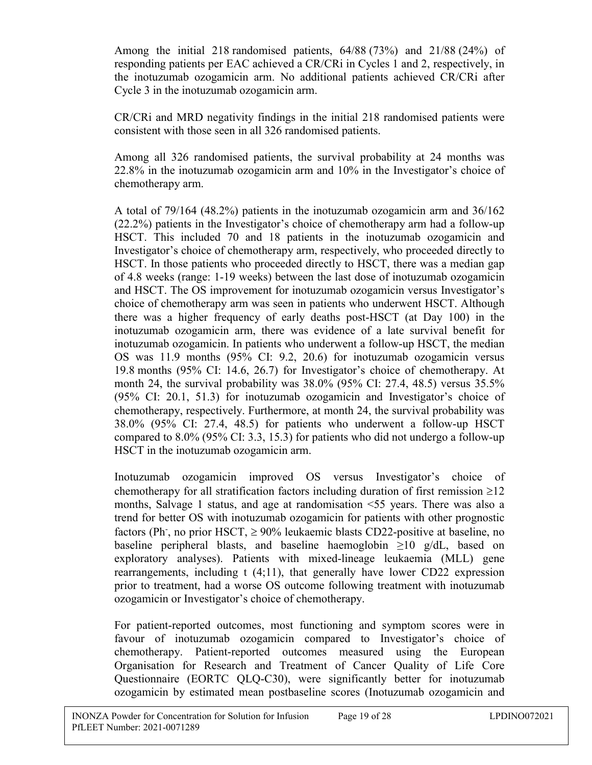Among the initial 218 randomised patients, 64/88 (73%) and 21/88 (24%) of responding patients per EAC achieved a CR/CRi in Cycles 1 and 2, respectively, in the inotuzumab ozogamicin arm. No additional patients achieved CR/CRi after Cycle 3 in the inotuzumab ozogamicin arm.

CR/CRi and MRD negativity findings in the initial 218 randomised patients were consistent with those seen in all 326 randomised patients.

Among all 326 randomised patients, the survival probability at 24 months was 22.8% in the inotuzumab ozogamicin arm and 10% in the Investigator's choice of chemotherapy arm.

A total of 79/164 (48.2%) patients in the inotuzumab ozogamicin arm and 36/162 (22.2%) patients in the Investigator's choice of chemotherapy arm had a follow-up HSCT. This included 70 and 18 patients in the inotuzumab ozogamicin and Investigator's choice of chemotherapy arm, respectively, who proceeded directly to HSCT. In those patients who proceeded directly to HSCT, there was a median gap of 4.8 weeks (range: 1-19 weeks) between the last dose of inotuzumab ozogamicin and HSCT. The OS improvement for inotuzumab ozogamicin versus Investigator's choice of chemotherapy arm was seen in patients who underwent HSCT. Although there was a higher frequency of early deaths post-HSCT (at Day 100) in the inotuzumab ozogamicin arm, there was evidence of a late survival benefit for inotuzumab ozogamicin. In patients who underwent a follow-up HSCT, the median OS was 11.9 months (95% CI: 9.2, 20.6) for inotuzumab ozogamicin versus 19.8 months (95% CI: 14.6, 26.7) for Investigator's choice of chemotherapy. At month 24, the survival probability was 38.0% (95% CI: 27.4, 48.5) versus 35.5% (95% CI: 20.1, 51.3) for inotuzumab ozogamicin and Investigator's choice of chemotherapy, respectively. Furthermore, at month 24, the survival probability was 38.0% (95% CI: 27.4, 48.5) for patients who underwent a follow-up HSCT compared to 8.0% (95% CI: 3.3, 15.3) for patients who did not undergo a follow-up HSCT in the inotuzumab ozogamicin arm.

Inotuzumab ozogamicin improved OS versus Investigator's choice of chemotherapy for all stratification factors including duration of first remission  $\geq 12$ months, Salvage 1 status, and age at randomisation <55 years. There was also a trend for better OS with inotuzumab ozogamicin for patients with other prognostic factors (Ph<sup>-</sup>, no prior HSCT,  $\geq$  90% leukaemic blasts CD22-positive at baseline, no baseline peripheral blasts, and baseline haemoglobin  $\geq 10$  g/dL, based on exploratory analyses). Patients with mixed-lineage leukaemia (MLL) gene rearrangements, including t (4;11), that generally have lower CD22 expression prior to treatment, had a worse OS outcome following treatment with inotuzumab ozogamicin or Investigator's choice of chemotherapy.

For patient-reported outcomes, most functioning and symptom scores were in favour of inotuzumab ozogamicin compared to Investigator's choice of chemotherapy. Patient-reported outcomes measured using the European Organisation for Research and Treatment of Cancer Quality of Life Core Questionnaire (EORTC QLQ-C30), were significantly better for inotuzumab ozogamicin by estimated mean postbaseline scores (Inotuzumab ozogamicin and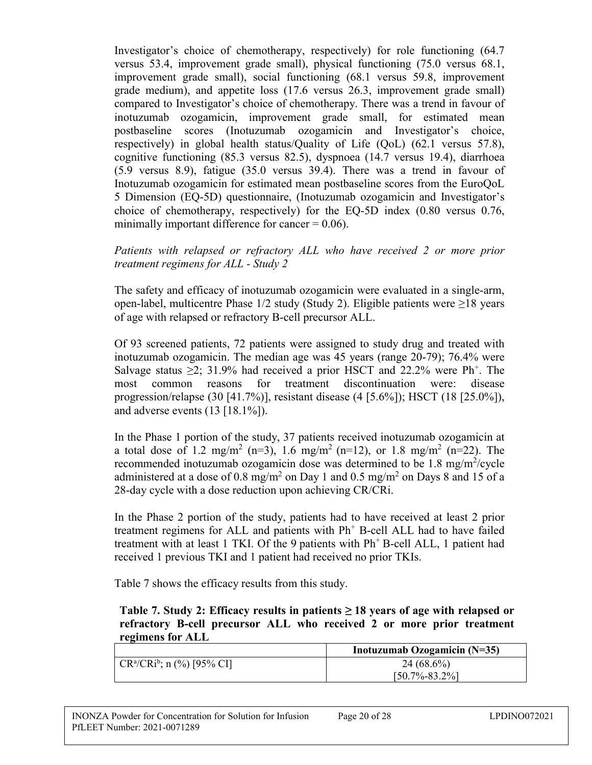Investigator's choice of chemotherapy, respectively) for role functioning (64.7 versus 53.4, improvement grade small), physical functioning (75.0 versus 68.1, improvement grade small), social functioning (68.1 versus 59.8, improvement grade medium), and appetite loss (17.6 versus 26.3, improvement grade small) compared to Investigator's choice of chemotherapy. There was a trend in favour of inotuzumab ozogamicin, improvement grade small, for estimated mean postbaseline scores (Inotuzumab ozogamicin and Investigator's choice, respectively) in global health status/Quality of Life (QoL) (62.1 versus 57.8), cognitive functioning (85.3 versus 82.5), dyspnoea (14.7 versus 19.4), diarrhoea (5.9 versus 8.9), fatigue (35.0 versus 39.4). There was a trend in favour of Inotuzumab ozogamicin for estimated mean postbaseline scores from the EuroQoL 5 Dimension (EQ-5D) questionnaire, (Inotuzumab ozogamicin and Investigator's choice of chemotherapy, respectively) for the EQ-5D index (0.80 versus 0.76, minimally important difference for cancer  $= 0.06$ ).

## *Patients with relapsed or refractory ALL who have received 2 or more prior treatment regimens for ALL - Study 2*

The safety and efficacy of inotuzumab ozogamicin were evaluated in a single-arm, open-label, multicentre Phase 1/2 study (Study 2). Eligible patients were ≥18 years of age with relapsed or refractory B-cell precursor ALL.

Of 93 screened patients, 72 patients were assigned to study drug and treated with inotuzumab ozogamicin. The median age was 45 years (range 20-79); 76.4% were Salvage status  $\geq$ 2; 31.9% had received a prior HSCT and 22.2% were Ph<sup>+</sup>. The most common reasons for treatment discontinuation were: disease progression/relapse (30 [41.7%)], resistant disease (4 [5.6%]); HSCT (18 [25.0%]), and adverse events  $(13 [18.1\%])$ .

In the Phase 1 portion of the study, 37 patients received inotuzumab ozogamicin at a total dose of 1.2 mg/m<sup>2</sup> (n=3), 1.6 mg/m<sup>2</sup> (n=12), or 1.8 mg/m<sup>2</sup> (n=22). The recommended inotuzumab ozogamicin dose was determined to be 1.8 mg/m<sup>2</sup>/cycle administered at a dose of 0.8 mg/m<sup>2</sup> on Day 1 and 0.5 mg/m<sup>2</sup> on Days 8 and 15 of a 28-day cycle with a dose reduction upon achieving CR/CRi.

In the Phase 2 portion of the study, patients had to have received at least 2 prior treatment regimens for ALL and patients with  $Ph<sup>+</sup>$  B-cell ALL had to have failed treatment with at least 1 TKI. Of the 9 patients with  $Ph<sup>+</sup> B-cell ALL$ , 1 patient had received 1 previous TKI and 1 patient had received no prior TKIs.

Table 7 shows the efficacy results from this study.

#### **Table 7. Study 2: Efficacy results in patients ≥ 18 years of age with relapsed or refractory B-cell precursor ALL who received 2 or more prior treatment regimens for ALL**

|                                                             | Inotuzumab Ozogamicin $(N=35)$ |
|-------------------------------------------------------------|--------------------------------|
| $\Gamma$ CR <sup>a</sup> /CRi <sup>b</sup> ; n (%) [95% CI] | $24(68.6\%)$                   |
|                                                             | $[50.7\% - 83.2\%]$            |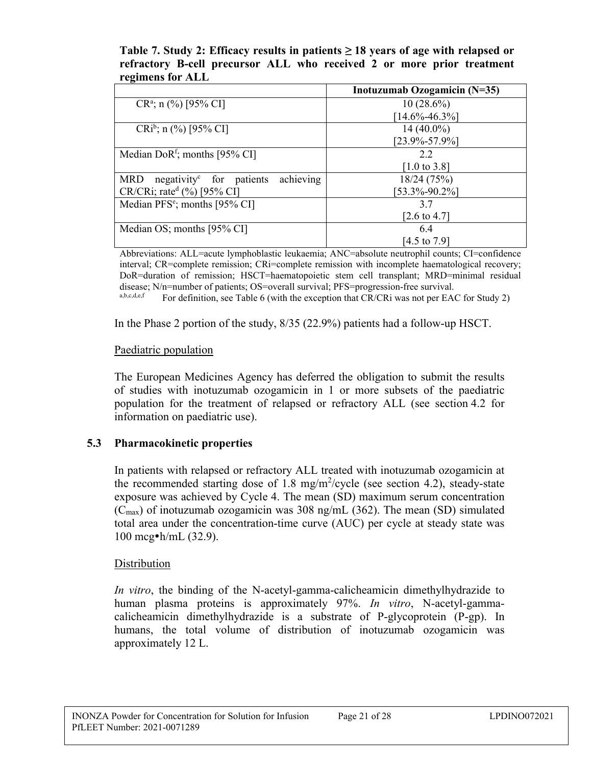#### **Table 7. Study 2: Efficacy results in patients ≥ 18 years of age with relapsed or refractory B-cell precursor ALL who received 2 or more prior treatment regimens for ALL**

|                                                                 | Inotuzumab Ozogamicin (N=35) |
|-----------------------------------------------------------------|------------------------------|
| $CR^a$ ; n (%) [95% CI]                                         | $10(28.6\%)$                 |
|                                                                 | $[14.6\% - 46.3\%]$          |
| $CRi^b$ ; n (%) [95% CI]                                        | $14(40.0\%)$                 |
|                                                                 | $[23.9\% - 57.9\%]$          |
| Median DoR <sup>f</sup> ; months [95% CI]                       | 2.2                          |
|                                                                 | [1.0 to 3.8]                 |
| achieving<br>negativity <sup>c</sup> for patients<br><b>MRD</b> | 18/24(75%)                   |
| $CR/CRi$ ; rate <sup>d</sup> (%) [95% CI]                       | $[53.3\% - 90.2\%]$          |
| Median $PFS^e$ ; months [95% CI]                                | 3.7                          |
|                                                                 | [2.6 to 4.7]                 |
| Median OS; months $[95\% \text{ CI}]$                           | 6.4                          |
|                                                                 | [4.5 to 7.9]                 |

Abbreviations: ALL=acute lymphoblastic leukaemia; ANC=absolute neutrophil counts; CI=confidence interval; CR=complete remission; CRi=complete remission with incomplete haematological recovery; DoR=duration of remission; HSCT=haematopoietic stem cell transplant; MRD=minimal residual disease; N/n=number of patients; OS=overall survival; PFS=progression-free survival.<br>absolved: For definition, see Table 6 (with the execution that CB/CB; was not nor EA

For definition, see Table 6 (with the exception that CR/CRi was not per EAC for Study 2)

In the Phase 2 portion of the study, 8/35 (22.9%) patients had a follow-up HSCT.

## Paediatric population

The European Medicines Agency has deferred the obligation to submit the results of studies with inotuzumab ozogamicin in 1 or more subsets of the paediatric population for the treatment of relapsed or refractory ALL (see section 4.2 for information on paediatric use).

## **5.3 Pharmacokinetic properties**

In patients with relapsed or refractory ALL treated with inotuzumab ozogamicin at the recommended starting dose of 1.8 mg/m<sup>2</sup>/cycle (see section 4.2), steady-state exposure was achieved by Cycle 4. The mean (SD) maximum serum concentration  $(C_{\text{max}})$  of inotuzumab ozogamicin was 308 ng/mL (362). The mean (SD) simulated total area under the concentration-time curve (AUC) per cycle at steady state was 100 mcg•h/mL (32.9).

## Distribution

*In vitro*, the binding of the N-acetyl-gamma-calicheamicin dimethylhydrazide to human plasma proteins is approximately 97%. *In vitro*, N-acetyl-gammacalicheamicin dimethylhydrazide is a substrate of P-glycoprotein (P-gp). In humans, the total volume of distribution of inotuzumab ozogamicin was approximately 12 L.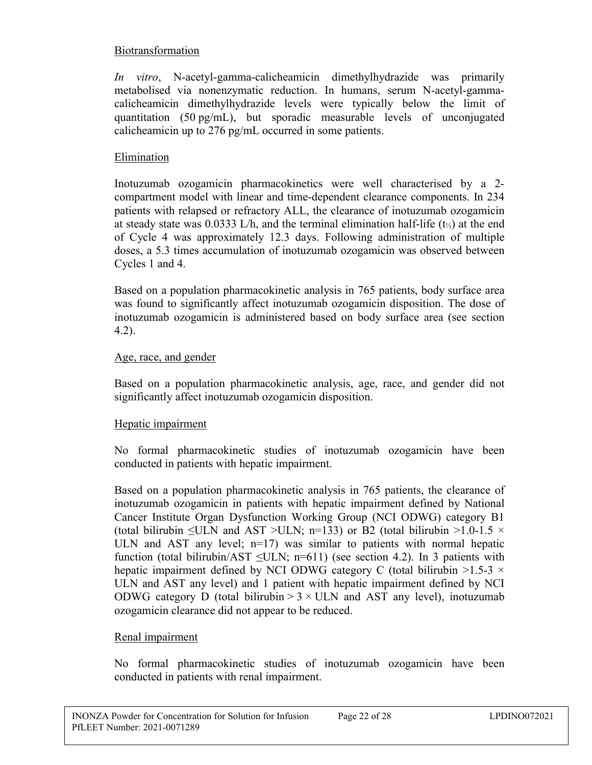## Biotransformation

*In vitro*, N-acetyl-gamma-calicheamicin dimethylhydrazide was primarily metabolised via nonenzymatic reduction. In humans, serum N-acetyl-gammacalicheamicin dimethylhydrazide levels were typically below the limit of quantitation (50 pg/mL), but sporadic measurable levels of unconjugated calicheamicin up to 276 pg/mL occurred in some patients.

## Elimination

Inotuzumab ozogamicin pharmacokinetics were well characterised by a 2 compartment model with linear and time-dependent clearance components. In 234 patients with relapsed or refractory ALL, the clearance of inotuzumab ozogamicin at steady state was 0.0333 L/h, and the terminal elimination half-life  $(t_{1/2})$  at the end of Cycle 4 was approximately 12.3 days. Following administration of multiple doses, a 5.3 times accumulation of inotuzumab ozogamicin was observed between Cycles 1 and 4.

Based on a population pharmacokinetic analysis in 765 patients, body surface area was found to significantly affect inotuzumab ozogamicin disposition. The dose of inotuzumab ozogamicin is administered based on body surface area (see section 4.2).

## Age, race, and gender

Based on a population pharmacokinetic analysis, age, race, and gender did not significantly affect inotuzumab ozogamicin disposition.

## Hepatic impairment

No formal pharmacokinetic studies of inotuzumab ozogamicin have been conducted in patients with hepatic impairment.

Based on a population pharmacokinetic analysis in 765 patients, the clearance of inotuzumab ozogamicin in patients with hepatic impairment defined by National Cancer Institute Organ Dysfunction Working Group (NCI ODWG) category B1 (total bilirubin  $\leq$ ULN and AST >ULN; n=133) or B2 (total bilirubin >1.0-1.5  $\times$ ULN and AST any level;  $n=17$ ) was similar to patients with normal hepatic function (total bilirubin/AST  $\leq$ ULN; n=611) (see section 4.2). In 3 patients with hepatic impairment defined by NCI ODWG category C (total bilirubin  $>1.5-3 \times$ ULN and AST any level) and 1 patient with hepatic impairment defined by NCI ODWG category D (total bilirubin  $> 3 \times$  ULN and AST any level), inotuzumab ozogamicin clearance did not appear to be reduced.

## Renal impairment

No formal pharmacokinetic studies of inotuzumab ozogamicin have been conducted in patients with renal impairment.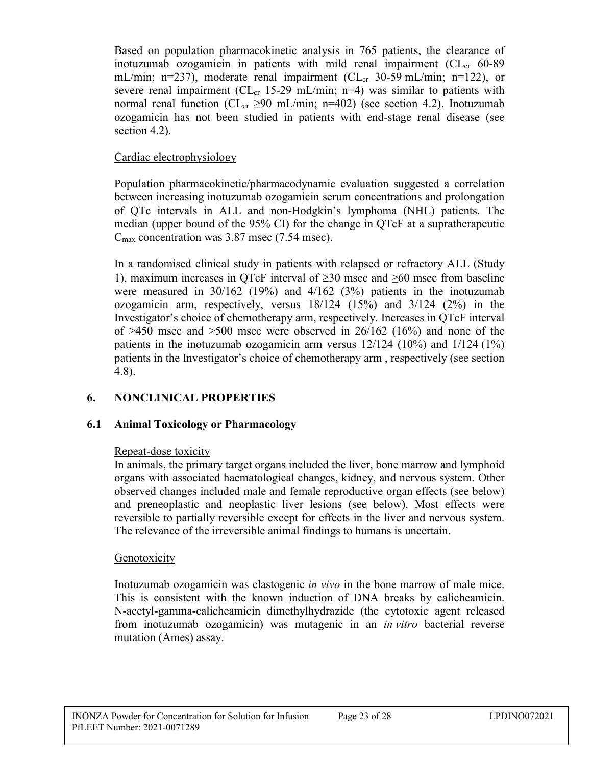Based on population pharmacokinetic analysis in 765 patients, the clearance of inotuzumab ozogamicin in patients with mild renal impairment  $CL_{cr}$  60-89 mL/min; n=237), moderate renal impairment (CL<sub>cr</sub> 30-59 mL/min; n=122), or severe renal impairment ( $CL_{cr}$  15-29 mL/min; n=4) was similar to patients with normal renal function ( $CL_{cr} \geq 90$  mL/min; n=402) (see section 4.2). Inotuzumab ozogamicin has not been studied in patients with end-stage renal disease (see section 4.2).

## Cardiac electrophysiology

Population pharmacokinetic/pharmacodynamic evaluation suggested a correlation between increasing inotuzumab ozogamicin serum concentrations and prolongation of QTc intervals in ALL and non-Hodgkin's lymphoma (NHL) patients. The median (upper bound of the 95% CI) for the change in QTcF at a supratherapeutic  $C_{\text{max}}$  concentration was 3.87 msec (7.54 msec).

In a randomised clinical study in patients with relapsed or refractory ALL (Study 1), maximum increases in OTcF interval of  $\geq 30$  msec and  $\geq 60$  msec from baseline were measured in 30/162 (19%) and 4/162 (3%) patients in the inotuzumab ozogamicin arm, respectively, versus 18/124 (15%) and 3/124 (2%) in the Investigator's choice of chemotherapy arm, respectively. Increases in QTcF interval of  $>450$  msec and  $>500$  msec were observed in 26/162 (16%) and none of the patients in the inotuzumab ozogamicin arm versus  $12/124$  (10%) and  $1/124$  (1%) patients in the Investigator's choice of chemotherapy arm , respectively (see section 4.8).

## **6. NONCLINICAL PROPERTIES**

## **6.1 Animal Toxicology or Pharmacology**

## Repeat-dose toxicity

In animals, the primary target organs included the liver, bone marrow and lymphoid organs with associated haematological changes, kidney, and nervous system. Other observed changes included male and female reproductive organ effects (see below) and preneoplastic and neoplastic liver lesions (see below). Most effects were reversible to partially reversible except for effects in the liver and nervous system. The relevance of the irreversible animal findings to humans is uncertain.

## Genotoxicity

Inotuzumab ozogamicin was clastogenic *in vivo* in the bone marrow of male mice. This is consistent with the known induction of DNA breaks by calicheamicin. N-acetyl-gamma-calicheamicin dimethylhydrazide (the cytotoxic agent released from inotuzumab ozogamicin) was mutagenic in an *in vitro* bacterial reverse mutation (Ames) assay.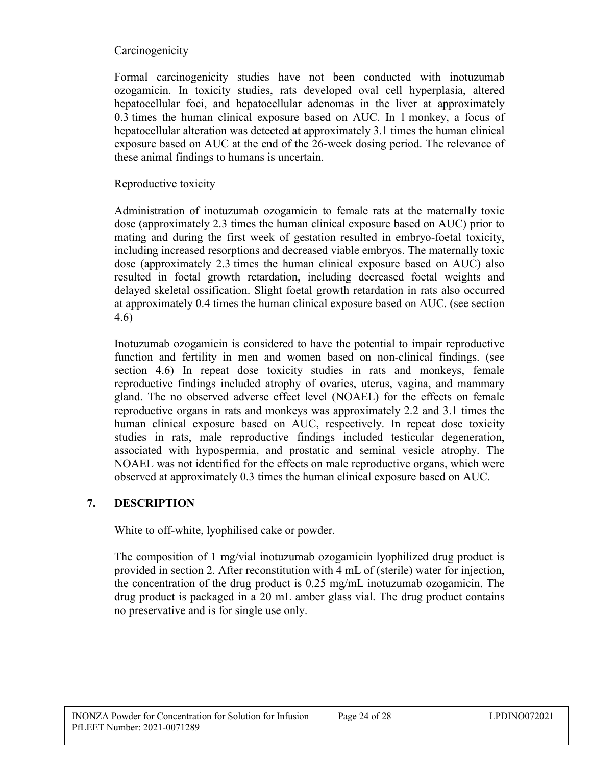## Carcinogenicity

Formal carcinogenicity studies have not been conducted with inotuzumab ozogamicin. In toxicity studies, rats developed oval cell hyperplasia, altered hepatocellular foci, and hepatocellular adenomas in the liver at approximately 0.3 times the human clinical exposure based on AUC. In 1 monkey, a focus of hepatocellular alteration was detected at approximately 3.1 times the human clinical exposure based on AUC at the end of the 26-week dosing period. The relevance of these animal findings to humans is uncertain.

#### Reproductive toxicity

Administration of inotuzumab ozogamicin to female rats at the maternally toxic dose (approximately 2.3 times the human clinical exposure based on AUC) prior to mating and during the first week of gestation resulted in embryo-foetal toxicity, including increased resorptions and decreased viable embryos. The maternally toxic dose (approximately 2.3 times the human clinical exposure based on AUC) also resulted in foetal growth retardation, including decreased foetal weights and delayed skeletal ossification. Slight foetal growth retardation in rats also occurred at approximately 0.4 times the human clinical exposure based on AUC. (see section 4.6)

Inotuzumab ozogamicin is considered to have the potential to impair reproductive function and fertility in men and women based on non-clinical findings. (see section 4.6) In repeat dose toxicity studies in rats and monkeys, female reproductive findings included atrophy of ovaries, uterus, vagina, and mammary gland. The no observed adverse effect level (NOAEL) for the effects on female reproductive organs in rats and monkeys was approximately 2.2 and 3.1 times the human clinical exposure based on AUC, respectively. In repeat dose toxicity studies in rats, male reproductive findings included testicular degeneration, associated with hypospermia, and prostatic and seminal vesicle atrophy. The NOAEL was not identified for the effects on male reproductive organs, which were observed at approximately 0.3 times the human clinical exposure based on AUC.

## **7. DESCRIPTION**

White to off-white, lyophilised cake or powder.

The composition of 1 mg/vial inotuzumab ozogamicin lyophilized drug product is provided in section 2. After reconstitution with 4 mL of (sterile) water for injection, the concentration of the drug product is 0.25 mg/mL inotuzumab ozogamicin. The drug product is packaged in a 20 mL amber glass vial. The drug product contains no preservative and is for single use only.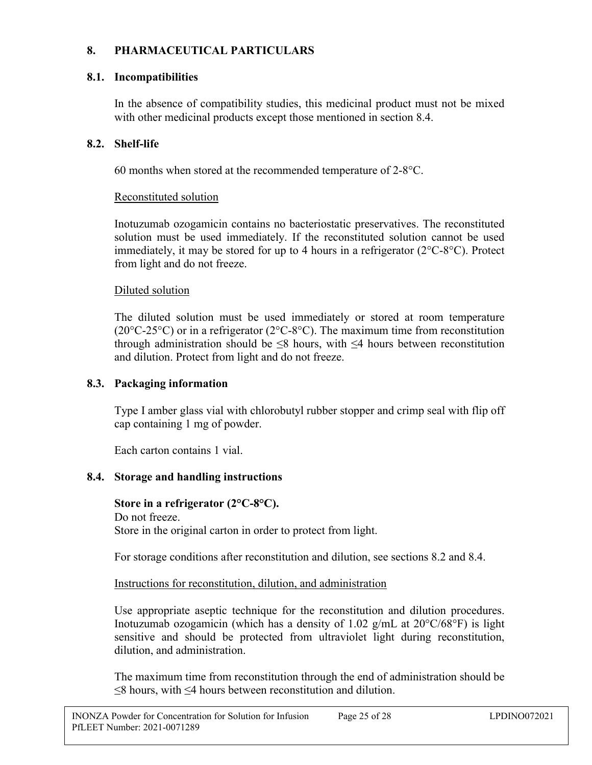## **8. PHARMACEUTICAL PARTICULARS**

## **8.1. Incompatibilities**

In the absence of compatibility studies, this medicinal product must not be mixed with other medicinal products except those mentioned in section 8.4.

## **8.2. Shelf-life**

60 months when stored at the recommended temperature of 2-8°C.

## Reconstituted solution

Inotuzumab ozogamicin contains no bacteriostatic preservatives. The reconstituted solution must be used immediately. If the reconstituted solution cannot be used immediately, it may be stored for up to 4 hours in a refrigerator (2°C-8°C). Protect from light and do not freeze.

## Diluted solution

The diluted solution must be used immediately or stored at room temperature ( $20^{\circ}$ C-25°C) or in a refrigerator ( $2^{\circ}$ C-8°C). The maximum time from reconstitution through administration should be  $\leq 8$  hours, with  $\leq 4$  hours between reconstitution and dilution. Protect from light and do not freeze.

## **8.3. Packaging information**

Type I amber glass vial with chlorobutyl rubber stopper and crimp seal with flip off cap containing 1 mg of powder.

Each carton contains 1 vial.

## **8.4. Storage and handling instructions**

**Store in a refrigerator (2°C-8°C).** Do not freeze. Store in the original carton in order to protect from light.

For storage conditions after reconstitution and dilution, see sections 8.2 and 8.4.

Instructions for reconstitution, dilution, and administration

Use appropriate aseptic technique for the reconstitution and dilution procedures. Inotuzumab ozogamicin (which has a density of 1.02 g/mL at  $20^{\circ}C/68^{\circ}F$ ) is light sensitive and should be protected from ultraviolet light during reconstitution, dilution, and administration.

The maximum time from reconstitution through the end of administration should be ≤8 hours, with ≤4 hours between reconstitution and dilution.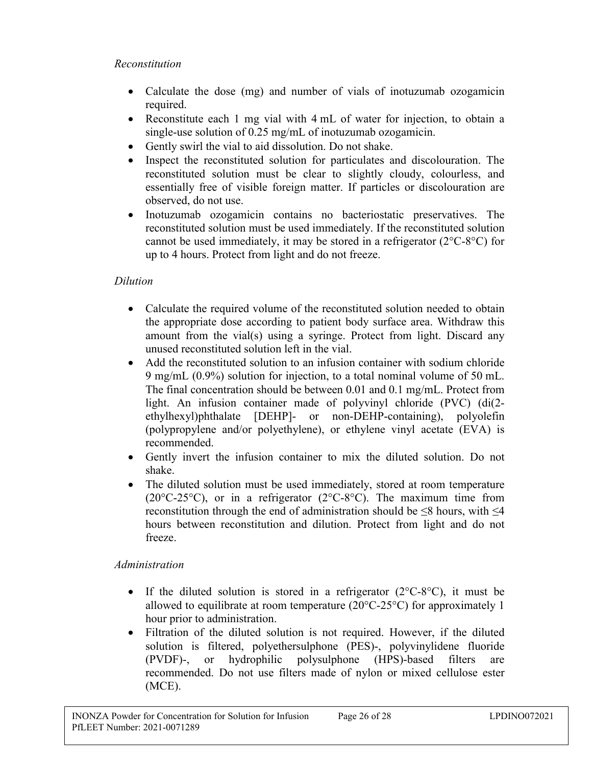#### *Reconstitution*

- Calculate the dose (mg) and number of vials of inotuzumab ozogamicin required.
- Reconstitute each 1 mg vial with 4 mL of water for injection, to obtain a single-use solution of 0.25 mg/mL of inotuzumab ozogamicin.
- Gently swirl the vial to aid dissolution. Do not shake.
- Inspect the reconstituted solution for particulates and discolouration. The reconstituted solution must be clear to slightly cloudy, colourless, and essentially free of visible foreign matter. If particles or discolouration are observed, do not use.
- Inotuzumab ozogamicin contains no bacteriostatic preservatives. The reconstituted solution must be used immediately. If the reconstituted solution cannot be used immediately, it may be stored in a refrigerator  $(2^{\circ}C - 8^{\circ}C)$  for up to 4 hours. Protect from light and do not freeze.

## *Dilution*

- Calculate the required volume of the reconstituted solution needed to obtain the appropriate dose according to patient body surface area. Withdraw this amount from the vial(s) using a syringe. Protect from light. Discard any unused reconstituted solution left in the vial.
- Add the reconstituted solution to an infusion container with sodium chloride 9 mg/mL (0.9%) solution for injection, to a total nominal volume of 50 mL. The final concentration should be between 0.01 and 0.1 mg/mL. Protect from light. An infusion container made of polyvinyl chloride (PVC) (di(2 ethylhexyl)phthalate [DEHP]- or non-DEHP-containing), polyolefin (polypropylene and/or polyethylene), or ethylene vinyl acetate (EVA) is recommended.
- Gently invert the infusion container to mix the diluted solution. Do not shake.
- The diluted solution must be used immediately, stored at room temperature (20 $\textdegree$ C-25 $\textdegree$ C), or in a refrigerator (2 $\textdegree$ C-8 $\textdegree$ C). The maximum time from reconstitution through the end of administration should be  $\leq 8$  hours, with  $\leq 4$ hours between reconstitution and dilution. Protect from light and do not freeze.

## *Administration*

- If the diluted solution is stored in a refrigerator  $(2^{\circ}C \cdot 8^{\circ}C)$ , it must be allowed to equilibrate at room temperature (20°C-25°C) for approximately 1 hour prior to administration.
- Filtration of the diluted solution is not required. However, if the diluted solution is filtered, polyethersulphone (PES)-, polyvinylidene fluoride (PVDF)-, or hydrophilic polysulphone (HPS)-based filters are recommended. Do not use filters made of nylon or mixed cellulose ester (MCE).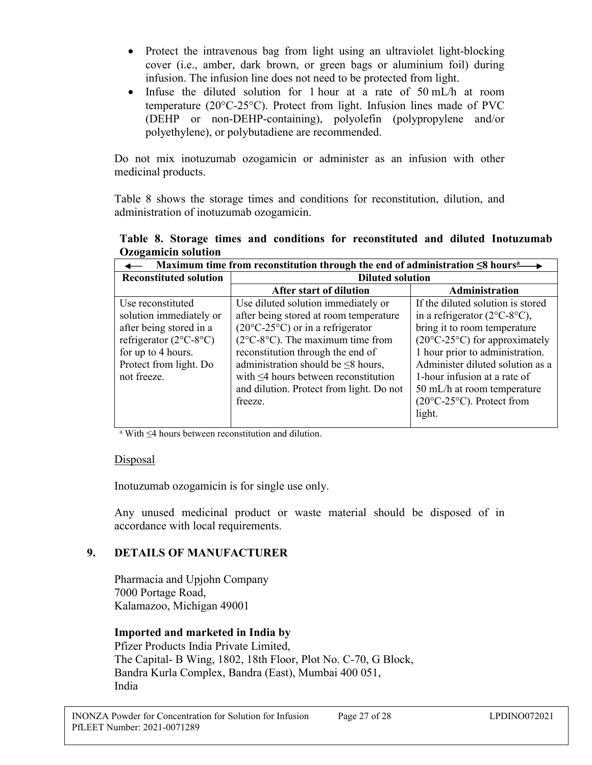- Protect the intravenous bag from light using an ultraviolet light-blocking cover (i.e., amber, dark brown, or green bags or aluminium foil) during infusion. The infusion line does not need to be protected from light.
- Infuse the diluted solution for 1 hour at a rate of  $50 \text{ mL/h}$  at room temperature (20°C-25°C). Protect from light. Infusion lines made of PVC (DEHP or non-DEHP-containing), polyolefin (polypropylene and/or polyethylene), or polybutadiene are recommended.

Do not mix inotuzumab ozogamicin or administer as an infusion with other medicinal products.

Table 8 shows the storage times and conditions for reconstitution, dilution, and administration of inotuzumab ozogamicin.

**Table 8. Storage times and conditions for reconstituted and diluted Inotuzumab Ozogamicin solution**

| Maximum time from reconstitution through the end of administration $\leq 8$ hours <sup>2</sup> |                                                     |                                                 |
|------------------------------------------------------------------------------------------------|-----------------------------------------------------|-------------------------------------------------|
| <b>Reconstituted solution</b>                                                                  | <b>Diluted solution</b>                             |                                                 |
|                                                                                                | After start of dilution                             | <b>Administration</b>                           |
| Use reconstituted                                                                              | Use diluted solution immediately or                 | If the diluted solution is stored               |
| solution immediately or                                                                        | after being stored at room temperature              | in a refrigerator $(2^{\circ}C - 8^{\circ}C)$ , |
| after being stored in a                                                                        | $(20^{\circ}C - 25^{\circ}C)$ or in a refrigerator  | bring it to room temperature                    |
| refrigerator $(2^{\circ}C - 8^{\circ}C)$                                                       | $(2^{\circ}C - 8^{\circ}C)$ . The maximum time from | $(20^{\circ}C - 25^{\circ}C)$ for approximately |
| for up to 4 hours.                                                                             | reconstitution through the end of                   | 1 hour prior to administration.                 |
| Protect from light. Do                                                                         | administration should be $\leq 8$ hours,            | Administer diluted solution as a                |
| not freeze.                                                                                    | with $\leq 4$ hours between reconstitution          | 1-hour infusion at a rate of                    |
|                                                                                                | and dilution. Protect from light. Do not            | 50 mL/h at room temperature                     |
|                                                                                                | freeze.                                             | $(20^{\circ}C - 25^{\circ}C)$ . Protect from    |
|                                                                                                |                                                     | light.                                          |
|                                                                                                |                                                     |                                                 |

<sup>a</sup> With ≤4 hours between reconstitution and dilution.

#### Disposal

Inotuzumab ozogamicin is for single use only.

Any unused medicinal product or waste material should be disposed of in accordance with local requirements.

## **9. DETAILS OF MANUFACTURER**

Pharmacia and Upjohn Company 7000 Portage Road, Kalamazoo, Michigan 49001

## **Imported and marketed in India by**

Pfizer Products India Private Limited, The Capital- B Wing, 1802, 18th Floor, Plot No. C-70, G Block, Bandra Kurla Complex, Bandra (East), Mumbai 400 051, India